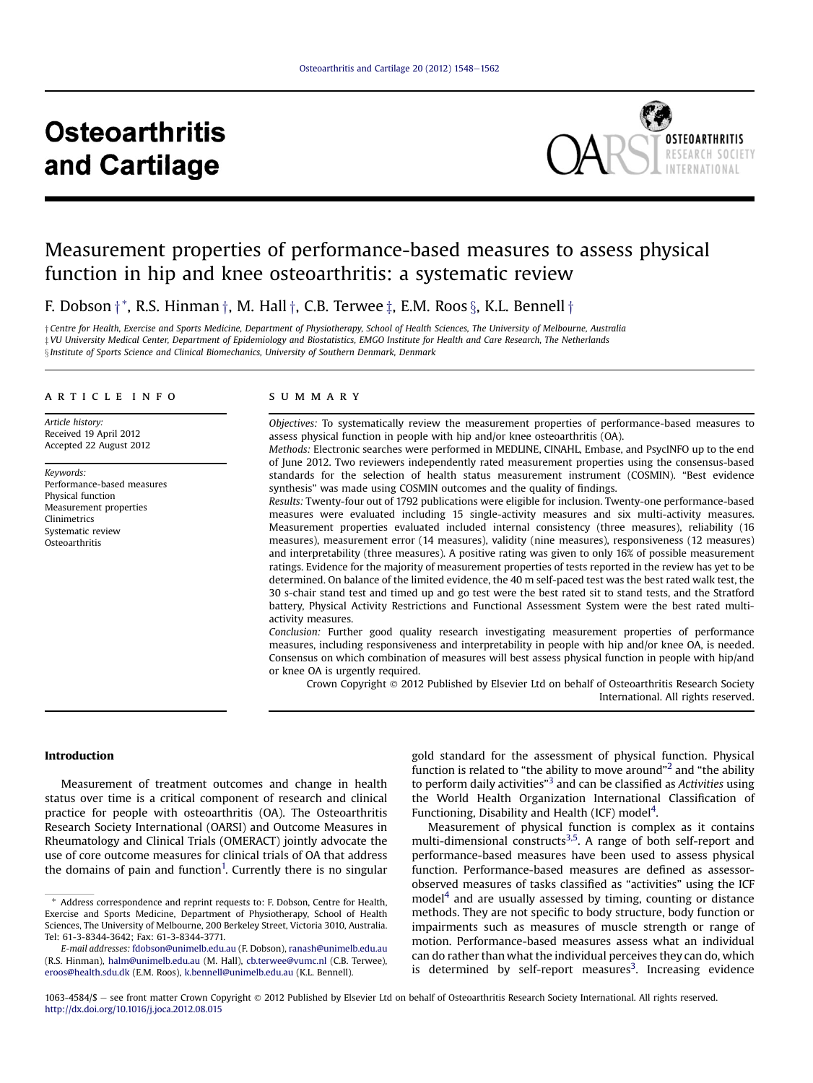# **Osteoarthritis** and Cartilage



# Measurement properties of performance-based measures to assess physical function in hip and knee osteoarthritis: a systematic review

F. Dobson  $\dagger^*$ , R.S. Hinman  $\dagger$ , M. Hall  $\dagger$ , C.B. Terwee  $\dagger$ , E.M. Roos  $\S$ , K.L. Bennell  $\dagger$ 

y Centre for Health, Exercise and Sports Medicine, Department of Physiotherapy, School of Health Sciences, The University of Melbourne, Australia z VU University Medical Center, Department of Epidemiology and Biostatistics, EMGO Institute for Health and Care Research, The Netherlands § Institute of Sports Science and Clinical Biomechanics, University of Southern Denmark, Denmark

#### article info

Article history: Received 19 April 2012 Accepted 22 August 2012

Keywords: Performance-based measures Physical function Measurement properties Clinimetrics Systematic review Osteoarthritis

#### summary

Objectives: To systematically review the measurement properties of performance-based measures to assess physical function in people with hip and/or knee osteoarthritis (OA).

Methods: Electronic searches were performed in MEDLINE, CINAHL, Embase, and PsycINFO up to the end of June 2012. Two reviewers independently rated measurement properties using the consensus-based standards for the selection of health status measurement instrument (COSMIN). "Best evidence synthesis" was made using COSMIN outcomes and the quality of findings.

Results: Twenty-four out of 1792 publications were eligible for inclusion. Twenty-one performance-based measures were evaluated including 15 single-activity measures and six multi-activity measures. Measurement properties evaluated included internal consistency (three measures), reliability (16 measures), measurement error (14 measures), validity (nine measures), responsiveness (12 measures) and interpretability (three measures). A positive rating was given to only 16% of possible measurement ratings. Evidence for the majority of measurement properties of tests reported in the review has yet to be determined. On balance of the limited evidence, the 40 m self-paced test was the best rated walk test, the 30 s-chair stand test and timed up and go test were the best rated sit to stand tests, and the Stratford battery, Physical Activity Restrictions and Functional Assessment System were the best rated multiactivity measures.

Conclusion: Further good quality research investigating measurement properties of performance measures, including responsiveness and interpretability in people with hip and/or knee OA, is needed. Consensus on which combination of measures will best assess physical function in people with hip/and or knee OA is urgently required.

Crown Copyright 2012 Published by Elsevier Ltd on behalf of Osteoarthritis Research Society International. All rights reserved.

# Introduction

Measurement of treatment outcomes and change in health status over time is a critical component of research and clinical practice for people with osteoarthritis (OA). The Osteoarthritis Research Society International (OARSI) and Outcome Measures in Rheumatology and Clinical Trials (OMERACT) jointly advocate the use of core outcome measures for clinical trials of OA that address the domains of pain and function<sup>[1](#page-12-0)</sup>. Currently there is no singular

gold standard for the assessment of physical function. Physical function is related to "the ability to move around"<sup>[2](#page-12-0)</sup> and "the ability to perform daily activities"<sup>[3](#page-12-0)</sup> and can be classified as Activities using the World Health Organization International Classification of Functioning, Disability and Health (ICF) model<sup>[4](#page-12-0)</sup>.

Measurement of physical function is complex as it contains multi-dimensional constructs<sup>[3,5](#page-12-0)</sup>. A range of both self-report and performance-based measures have been used to assess physical function. Performance-based measures are defined as assessorobserved measures of tasks classified as "activities" using the ICF model $4$  and are usually assessed by timing, counting or distance methods. They are not specific to body structure, body function or impairments such as measures of muscle strength or range of motion. Performance-based measures assess what an individual can do rather than what the individual perceives they can do, which is determined by self-report measures<sup>[3](#page-12-0)</sup>. Increasing evidence

1063-4584/\$ - see front matter Crown Copyright @ 2012 Published by Elsevier Ltd on behalf of Osteoarthritis Research Society International. All rights reserved. <http://dx.doi.org/10.1016/j.joca.2012.08.015>

<sup>\*</sup> Address correspondence and reprint requests to: F. Dobson, Centre for Health, Exercise and Sports Medicine, Department of Physiotherapy, School of Health Sciences, The University of Melbourne, 200 Berkeley Street, Victoria 3010, Australia. Tel: 61-3-8344-3642; Fax: 61-3-8344-3771.

E-mail addresses: [fdobson@unimelb.edu.au](mailto:fdobson@unimelb.edu.au) (F. Dobson), [ranash@unimelb.edu.au](mailto:ranash@unimelb.edu.au) (R.S. Hinman), [halm@unimelb.edu.au](mailto:halm@unimelb.edu.au) (M. Hall), [cb.terwee@vumc.nl](mailto:cb.terwee@vumc.nl) (C.B. Terwee), [eroos@health.sdu.dk](mailto:eroos@health.sdu.dk) (E.M. Roos), [k.bennell@unimelb.edu.au](mailto:k.bennell@unimelb.edu.au) (K.L. Bennell).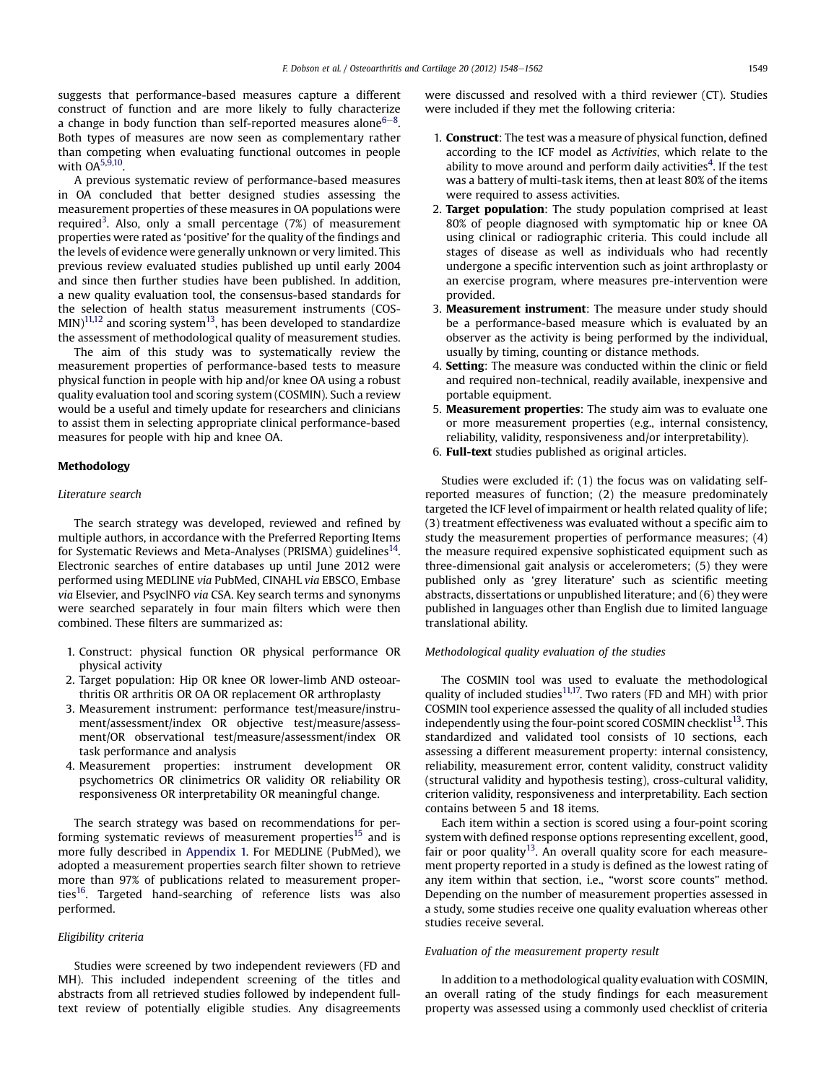suggests that performance-based measures capture a different construct of function and are more likely to fully characterize a change in body function than self-reported measures alone $^{6-8}.$  $^{6-8}.$  $^{6-8}.$  $^{6-8}.$  $^{6-8}.$ Both types of measures are now seen as complementary rather than competing when evaluating functional outcomes in people with  $OA^{5,9,10}$ .

A previous systematic review of performance-based measures in OA concluded that better designed studies assessing the measurement properties of these measures in OA populations were required<sup>[3](#page-12-0)</sup>. Also, only a small percentage (7%) of measurement properties were rated as 'positive' for the quality of the findings and the levels of evidence were generally unknown or very limited. This previous review evaluated studies published up until early 2004 and since then further studies have been published. In addition, a new quality evaluation tool, the consensus-based standards for the selection of health status measurement instruments (COS- $MIN)^{11,12}$  $MIN)^{11,12}$  $MIN)^{11,12}$  and scoring system<sup>13</sup>, has been developed to standardize the assessment of methodological quality of measurement studies.

The aim of this study was to systematically review the measurement properties of performance-based tests to measure physical function in people with hip and/or knee OA using a robust quality evaluation tool and scoring system (COSMIN). Such a review would be a useful and timely update for researchers and clinicians to assist them in selecting appropriate clinical performance-based measures for people with hip and knee OA.

# Methodology

# Literature search

The search strategy was developed, reviewed and refined by multiple authors, in accordance with the Preferred Reporting Items for Systematic Reviews and Meta-Analyses (PRISMA) guidelines<sup>14</sup>. Electronic searches of entire databases up until June 2012 were performed using MEDLINE via PubMed, CINAHL via EBSCO, Embase via Elsevier, and PsycINFO via CSA. Key search terms and synonyms were searched separately in four main filters which were then combined. These filters are summarized as:

- 1. Construct: physical function OR physical performance OR physical activity
- 2. Target population: Hip OR knee OR lower-limb AND osteoarthritis OR arthritis OR OA OR replacement OR arthroplasty
- 3. Measurement instrument: performance test/measure/instrument/assessment/index OR objective test/measure/assessment/OR observational test/measure/assessment/index OR task performance and analysis
- 4. Measurement properties: instrument development OR psychometrics OR clinimetrics OR validity OR reliability OR responsiveness OR interpretability OR meaningful change.

The search strategy was based on recommendations for performing systematic reviews of measurement properties<sup>15</sup> and is more fully described in [Appendix 1.](#page-11-0) For MEDLINE (PubMed), we adopted a measurement properties search filter shown to retrieve more than 97% of publications related to measurement properties<sup>16</sup>. Targeted hand-searching of reference lists was also performed.

# Eligibility criteria

Studies were screened by two independent reviewers (FD and MH). This included independent screening of the titles and abstracts from all retrieved studies followed by independent fulltext review of potentially eligible studies. Any disagreements were discussed and resolved with a third reviewer (CT). Studies were included if they met the following criteria:

- 1. Construct: The test was a measure of physical function, defined according to the ICF model as Activities, which relate to the ability to move around and perform daily activities<sup>[4](#page-12-0)</sup>. If the test was a battery of multi-task items, then at least 80% of the items were required to assess activities.
- 2. Target population: The study population comprised at least 80% of people diagnosed with symptomatic hip or knee OA using clinical or radiographic criteria. This could include all stages of disease as well as individuals who had recently undergone a specific intervention such as joint arthroplasty or an exercise program, where measures pre-intervention were provided.
- 3. Measurement instrument: The measure under study should be a performance-based measure which is evaluated by an observer as the activity is being performed by the individual, usually by timing, counting or distance methods.
- 4. Setting: The measure was conducted within the clinic or field and required non-technical, readily available, inexpensive and portable equipment.
- 5. Measurement properties: The study aim was to evaluate one or more measurement properties (e.g., internal consistency, reliability, validity, responsiveness and/or interpretability).
- 6. Full-text studies published as original articles.

Studies were excluded if: (1) the focus was on validating selfreported measures of function; (2) the measure predominately targeted the ICF level of impairment or health related quality of life; (3) treatment effectiveness was evaluated without a specific aim to study the measurement properties of performance measures; (4) the measure required expensive sophisticated equipment such as three-dimensional gait analysis or accelerometers; (5) they were published only as 'grey literature' such as scientific meeting abstracts, dissertations or unpublished literature; and (6) they were published in languages other than English due to limited language translational ability.

#### Methodological quality evaluation of the studies

The COSMIN tool was used to evaluate the methodological quality of included studies $11,17$ . Two raters (FD and MH) with prior COSMIN tool experience assessed the quality of all included studies independently using the four-point scored COSMIN checklist $13$ . This standardized and validated tool consists of 10 sections, each assessing a different measurement property: internal consistency, reliability, measurement error, content validity, construct validity (structural validity and hypothesis testing), cross-cultural validity, criterion validity, responsiveness and interpretability. Each section contains between 5 and 18 items.

Each item within a section is scored using a four-point scoring system with defined response options representing excellent, good, fair or poor quality<sup>[13](#page-13-0)</sup>. An overall quality score for each measurement property reported in a study is defined as the lowest rating of any item within that section, i.e., "worst score counts" method. Depending on the number of measurement properties assessed in a study, some studies receive one quality evaluation whereas other studies receive several.

#### Evaluation of the measurement property result

In addition to a methodological quality evaluation with COSMIN, an overall rating of the study findings for each measurement property was assessed using a commonly used checklist of criteria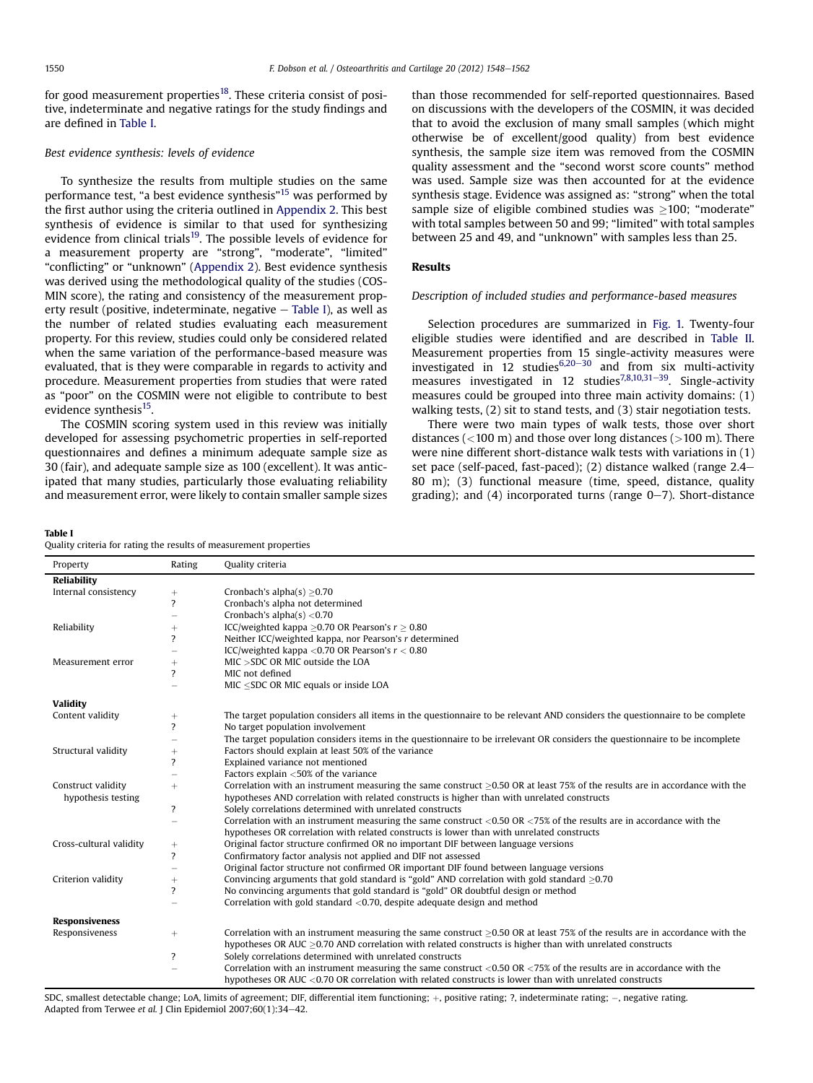for good measurement properties<sup>18</sup>. These criteria consist of positive, indeterminate and negative ratings for the study findings and are defined in Table I.

# Best evidence synthesis: levels of evidence

To synthesize the results from multiple studies on the same performance test, "a best evidence synthesis"<sup>[15](#page-13-0)</sup> was performed by the first author using the criteria outlined in [Appendix 2](#page-11-0). This best synthesis of evidence is similar to that used for synthesizing evidence from clinical trials<sup>19</sup>. The possible levels of evidence for a measurement property are "strong", "moderate", "limited" "conflicting" or "unknown" [\(Appendix 2](#page-11-0)). Best evidence synthesis was derived using the methodological quality of the studies (COS-MIN score), the rating and consistency of the measurement property result (positive, indeterminate, negative  $-$  Table I), as well as the number of related studies evaluating each measurement property. For this review, studies could only be considered related when the same variation of the performance-based measure was evaluated, that is they were comparable in regards to activity and procedure. Measurement properties from studies that were rated as "poor" on the COSMIN were not eligible to contribute to best evidence synthesis<sup>15</sup>.

The COSMIN scoring system used in this review was initially developed for assessing psychometric properties in self-reported questionnaires and defines a minimum adequate sample size as 30 (fair), and adequate sample size as 100 (excellent). It was anticipated that many studies, particularly those evaluating reliability and measurement error, were likely to contain smaller sample sizes

#### Table I

Quality criteria for rating the results of measurement properties

than those recommended for self-reported questionnaires. Based on discussions with the developers of the COSMIN, it was decided that to avoid the exclusion of many small samples (which might otherwise be of excellent/good quality) from best evidence synthesis, the sample size item was removed from the COSMIN quality assessment and the "second worst score counts" method was used. Sample size was then accounted for at the evidence synthesis stage. Evidence was assigned as: "strong" when the total sample size of eligible combined studies was  $\geq$ 100; "moderate" with total samples between 50 and 99; "limited" with total samples between 25 and 49, and "unknown" with samples less than 25.

# Results

#### Description of included studies and performance-based measures

Selection procedures are summarized in [Fig. 1.](#page-3-0) Twenty-four eligible studies were identified and are described in [Table II.](#page-4-0) Measurement properties from 15 single-activity measures were investigated in 12 studies<sup>[6,20](#page-12-0)-[30](#page-12-0)</sup> and from six multi-activity measures investigated in 12 studies<sup>[7,8,10,31](#page-13-0)-39</sup>. Single-activity measures could be grouped into three main activity domains: (1) walking tests, (2) sit to stand tests, and (3) stair negotiation tests.

There were two main types of walk tests, those over short distances  $\left($  < 100 m) and those over long distances ( $\left>$  100 m). There were nine different short-distance walk tests with variations in (1) set pace (self-paced, fast-paced); (2) distance walked (range 2.4– 80 m); (3) functional measure (time, speed, distance, quality grading); and  $(4)$  incorporated turns (range  $0-7$ ). Short-distance

| Property                | Rating                   | Quality criteria                                                                                                                  |
|-------------------------|--------------------------|-----------------------------------------------------------------------------------------------------------------------------------|
| Reliability             |                          |                                                                                                                                   |
| Internal consistency    | $\! + \!\!\!\!$          | Cronbach's alpha(s) $\geq$ 0.70                                                                                                   |
|                         | $\overline{\phantom{a}}$ | Cronbach's alpha not determined                                                                                                   |
|                         | $\overline{\phantom{0}}$ | Cronbach's alpha $(s)$ < 0.70                                                                                                     |
| Reliability             | $^{+}$                   | ICC/weighted kappa > 0.70 OR Pearson's $r > 0.80$                                                                                 |
|                         | ?                        | Neither ICC/weighted kappa, nor Pearson's r determined                                                                            |
|                         | $\qquad \qquad -$        | ICC/weighted kappa < 0.70 OR Pearson's $r < 0.80$                                                                                 |
| Measurement error       | $\! +$                   | $MIC > SDC OR MIC$ outside the LOA                                                                                                |
|                         | $\overline{\phantom{a}}$ | MIC not defined                                                                                                                   |
|                         |                          | $MIC \leq SDC OR MIC$ equals or inside LOA                                                                                        |
| <b>Validity</b>         |                          |                                                                                                                                   |
| Content validity        | $^{+}$                   | The target population considers all items in the questionnaire to be relevant AND considers the questionnaire to be complete      |
|                         | ?                        | No target population involvement                                                                                                  |
|                         |                          | The target population considers items in the questionnaire to be irrelevant OR considers the questionnaire to be incomplete       |
| Structural validity     | $^{+}$                   | Factors should explain at least 50% of the variance                                                                               |
|                         | $\overline{\phantom{a}}$ | Explained variance not mentioned                                                                                                  |
|                         |                          | Factors explain $<$ 50% of the variance                                                                                           |
| Construct validity      | $^{+}$                   | Correlation with an instrument measuring the same construct $\geq$ 0.50 OR at least 75% of the results are in accordance with the |
| hypothesis testing      |                          | hypotheses AND correlation with related constructs is higher than with unrelated constructs                                       |
|                         | $\overline{\phantom{a}}$ | Solely correlations determined with unrelated constructs                                                                          |
|                         | $\overline{\phantom{0}}$ | Correlation with an instrument measuring the same construct < $0.50$ OR <75% of the results are in accordance with the            |
|                         |                          | hypotheses OR correlation with related constructs is lower than with unrelated constructs                                         |
| Cross-cultural validity | $\! + \!\!\!\!$          | Original factor structure confirmed OR no important DIF between language versions                                                 |
|                         | $\overline{\phantom{a}}$ | Confirmatory factor analysis not applied and DIF not assessed                                                                     |
|                         |                          | Original factor structure not confirmed OR important DIF found between language versions                                          |
| Criterion validity      | $^{+}$                   | Convincing arguments that gold standard is "gold" AND correlation with gold standard $\geq$ 0.70                                  |
|                         | $\overline{\mathbf{?}}$  | No convincing arguments that gold standard is "gold" OR doubtful design or method                                                 |
|                         |                          | Correlation with gold standard $<$ 0.70, despite adequate design and method                                                       |
| <b>Responsiveness</b>   |                          |                                                                                                                                   |
| Responsiveness          | $\! +$                   | Correlation with an instrument measuring the same construct $\geq$ 0.50 OR at least 75% of the results are in accordance with the |
|                         |                          | hypotheses OR AUC $\geq$ 0.70 AND correlation with related constructs is higher than with unrelated constructs                    |
|                         | $\overline{\phantom{a}}$ | Solely correlations determined with unrelated constructs                                                                          |
|                         |                          | Correlation with an instrument measuring the same construct $<$ 0.50 OR $<$ 75% of the results are in accordance with the         |
|                         |                          | hypotheses OR AUC < 0.70 OR correlation with related constructs is lower than with unrelated constructs                           |

SDC, smallest detectable change; LoA, limits of agreement; DIF, differential item functioning; +, positive rating; ?, indeterminate rating; -, negative rating. Adapted from Terwee et al. J Clin Epidemiol 2007;60(1):34-42.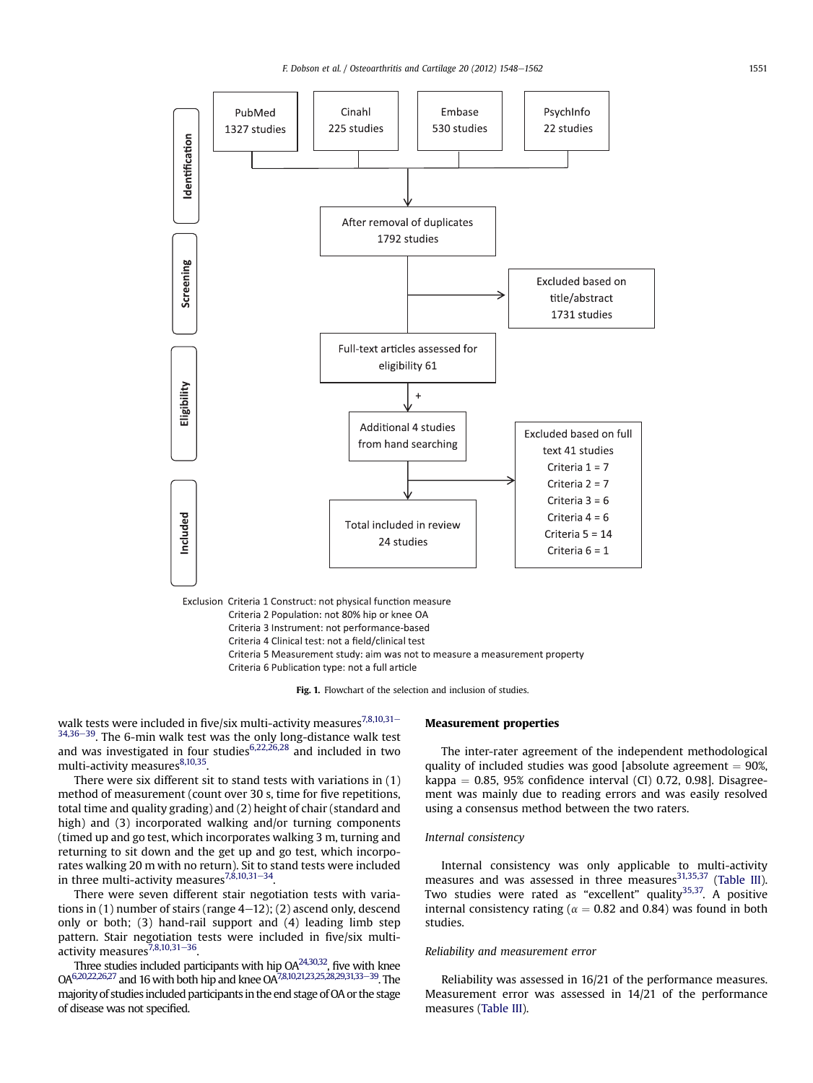<span id="page-3-0"></span>

Exclusion Criteria 1 Construct: not physical function measure Criteria 2 Population: not 80% hip or knee OA Criteria 3 Instrument: not performance-based Criteria 4 Clinical test: not a field/clinical test Criteria 5 Measurement study: aim was not to measure a measurement property Criteria 6 Publication type: not a full article

Fig. 1. Flowchart of the selection and inclusion of studies.

walk tests were included in five/six multi-activity measures $^{7,8,10,31-}$  $^{7,8,10,31-}$  $^{7,8,10,31-}$  $34,36-39$  $34,36-39$ . The 6-min walk test was the only long-distance walk test and was investigated in four studies $6,22,26,28$  and included in two multi-activity measures $8,10,35$ .

There were six different sit to stand tests with variations in (1) method of measurement (count over 30 s, time for five repetitions, total time and quality grading) and (2) height of chair (standard and high) and (3) incorporated walking and/or turning components (timed up and go test, which incorporates walking 3 m, turning and returning to sit down and the get up and go test, which incorporates walking 20 m with no return). Sit to stand tests were included in three multi-activity measures<sup>[7,8,10,31](#page-13-0)–[34](#page-13-0)</sup>

There were seven different stair negotiation tests with variations in  $(1)$  number of stairs (range 4–12);  $(2)$  ascend only, descend only or both; (3) hand-rail support and (4) leading limb step pattern. Stair negotiation tests were included in five/six multiactivity measures $7,8,10,31-36$  $7,8,10,31-36$  $7,8,10,31-36$ .

Three studies included participants with hip OA $^{24,30,32}$ , five with knee OA<sup>6,20,22,26,27</sup> and 16 with both hip and knee OA<sup>7,8,10,21,23,25,28,29,31,33–[39](#page-13-0)</sup>. The majority of studies included participants in the end stage of OA or the stage of disease was not specified.

#### Measurement properties

The inter-rater agreement of the independent methodological quality of included studies was good [absolute agreement  $= 90\%$ , kappa  $= 0.85$ , 95% confidence interval (CI) 0.72, 0.98]. Disagreement was mainly due to reading errors and was easily resolved using a consensus method between the two raters.

#### Internal consistency

Internal consistency was only applicable to multi-activity measures and was assessed in three measures<sup>31,35,37</sup> [\(Table III\)](#page-6-0). Two studies were rated as "excellent" quality<sup>35,37</sup>. A positive internal consistency rating ( $\alpha = 0.82$  and 0.84) was found in both studies.

#### Reliability and measurement error

Reliability was assessed in 16/21 of the performance measures. Measurement error was assessed in 14/21 of the performance measures ([Table III\)](#page-6-0).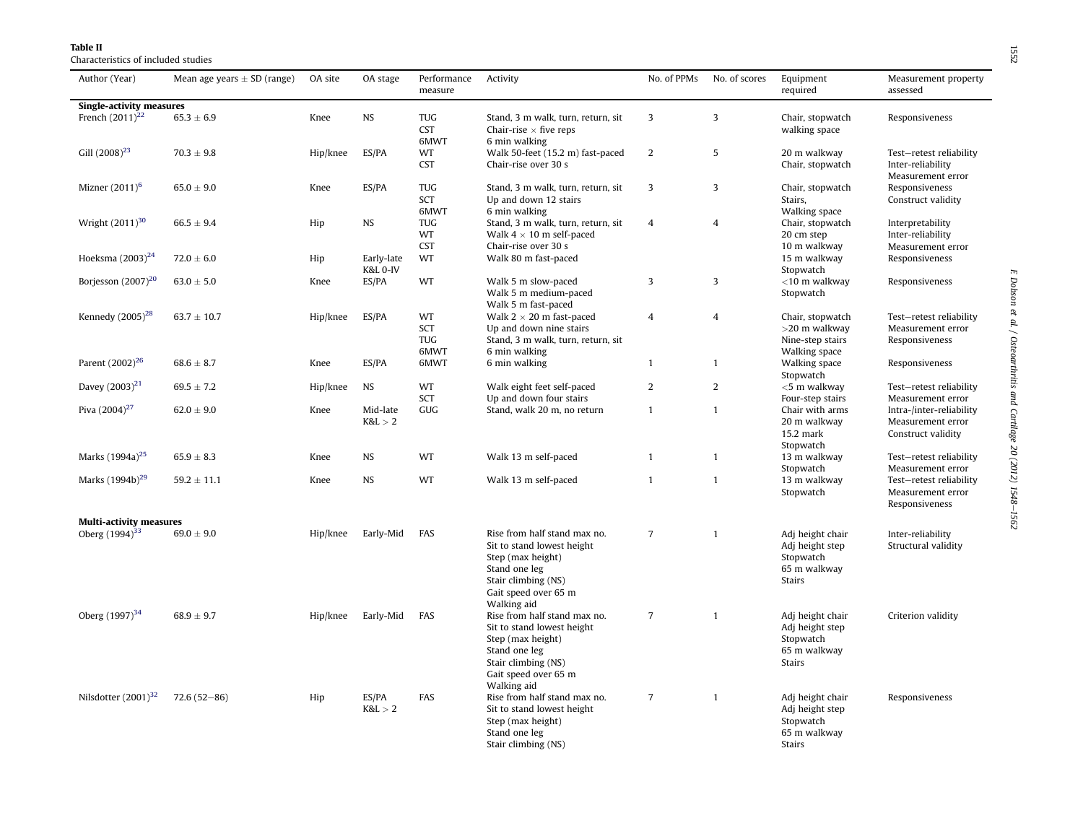| Author (Year)                   | Mean age years $\pm$ SD (range) | OA site  | OA stage               | Performance<br>measure           | Activity                                                                                                                                                       | No. of PPMs    | No. of scores | Equipment<br>required                                                             | Measurement property<br>assessed                                    |  |
|---------------------------------|---------------------------------|----------|------------------------|----------------------------------|----------------------------------------------------------------------------------------------------------------------------------------------------------------|----------------|---------------|-----------------------------------------------------------------------------------|---------------------------------------------------------------------|--|
| <b>Single-activity measures</b> |                                 |          |                        |                                  |                                                                                                                                                                |                |               |                                                                                   |                                                                     |  |
| French $(2011)^{22}$            | $65.3 \pm 6.9$                  | Knee     | <b>NS</b>              | <b>TUG</b><br><b>CST</b><br>6MWT | Stand, 3 m walk, turn, return, sit<br>Chair-rise $\times$ five reps<br>6 min walking                                                                           | 3              | 3             | Chair, stopwatch<br>walking space                                                 | Responsiveness                                                      |  |
| Gill $(2008)^{23}$              | $70.3 \pm 9.8$                  | Hip/knee | ES/PA                  | WT<br><b>CST</b>                 | Walk 50-feet (15.2 m) fast-paced<br>Chair-rise over 30 s                                                                                                       | 2              | 5             | 20 m walkway<br>Chair, stopwatch                                                  | Test-retest reliability<br>Inter-reliability<br>Measurement error   |  |
| Mizner $(2011)^6$               | $65.0\pm9.0$                    | Knee     | ES/PA                  | <b>TUG</b><br>SCT<br>6MWT        | Stand, 3 m walk, turn, return, sit<br>Up and down 12 stairs<br>6 min walking                                                                                   | 3              | 3             | Chair, stopwatch<br>Stairs,<br>Walking space                                      | Responsiveness<br>Construct validity                                |  |
| Wright $(2011)^{30}$            | $66.5 \pm 9.4$                  | Hip      | <b>NS</b>              | <b>TUG</b><br>WT<br><b>CST</b>   | Stand, 3 m walk, turn, return, sit<br>Walk $4 \times 10$ m self-paced<br>Chair-rise over 30 s                                                                  | $\overline{4}$ | 4             | Chair, stopwatch<br>20 cm step<br>10 m walkway                                    | Interpretability<br>Inter-reliability<br>Measurement error          |  |
| Hoeksma $(2003)^{24}$           | $72.0 \pm 6.0$                  | Hip      | Early-late<br>K&L 0-IV | WT                               | Walk 80 m fast-paced                                                                                                                                           |                |               | 15 m walkway<br>Stopwatch                                                         | Responsiveness                                                      |  |
| Borjesson $(2007)^{20}$         | $63.0 \pm 5.0$                  | Knee     | ES/PA                  | WT                               | Walk 5 m slow-paced<br>Walk 5 m medium-paced<br>Walk 5 m fast-paced                                                                                            | 3              | 3             | $<$ 10 m walkway<br>Stopwatch                                                     | Responsiveness                                                      |  |
| Kennedy $(2005)^{28}$           | $63.7 \pm 10.7$                 | Hip/knee | ES/PA                  | WT<br><b>SCT</b><br>TUG<br>6MWT  | Walk $2 \times 20$ m fast-paced<br>Up and down nine stairs<br>Stand, 3 m walk, turn, return, sit<br>6 min walking                                              | 4              | 4             | Chair, stopwatch<br>$>$ 20 m walkway<br>Nine-step stairs<br>Walking space         | Test-retest reliability<br>Measurement error<br>Responsiveness      |  |
| Parent $(2002)^{26}$            | $68.6 \pm 8.7$                  | Knee     | ES/PA                  | 6MWT                             | 6 min walking                                                                                                                                                  | $\mathbf{1}$   | $\mathbf{1}$  | Walking space<br>Stopwatch                                                        | Responsiveness                                                      |  |
| Davey $(2003)^{21}$             | $69.5 \pm 7.2$                  | Hip/knee | <b>NS</b>              | <b>WT</b><br>SCT                 | Walk eight feet self-paced<br>Up and down four stairs                                                                                                          | $\overline{2}$ | 2             | $<$ 5 m walkway<br>Four-step stairs                                               | Test-retest reliability<br>Measurement error                        |  |
| Piva (2004) <sup>27</sup>       | $62.0 \pm 9.0$                  | Knee     | Mid-late<br>K&L > 2    | <b>GUG</b>                       | Stand, walk 20 m, no return                                                                                                                                    | $\mathbf{1}$   | $\mathbf{1}$  | Chair with arms<br>20 m walkway<br>$15.2$ mark<br>Stopwatch                       | Intra-/inter-reliability<br>Measurement error<br>Construct validity |  |
| Marks (1994a) <sup>25</sup>     | $65.9 \pm 8.3$                  | Knee     | <b>NS</b>              | WT                               | Walk 13 m self-paced                                                                                                                                           | $\mathbf{1}$   | $\mathbf{1}$  | 13 m walkway<br>Stopwatch                                                         | Test-retest reliability<br>Measurement error                        |  |
| Marks (1994b) <sup>29</sup>     | $59.2 \pm 11.1$                 | Knee     | <b>NS</b>              | WT                               | Walk 13 m self-paced                                                                                                                                           | 1              | $\mathbf{1}$  | 13 m walkway<br>Stopwatch                                                         | Test-retest reliability<br>Measurement error<br>Responsiveness      |  |
| <b>Multi-activity measures</b>  |                                 |          |                        |                                  |                                                                                                                                                                |                |               |                                                                                   |                                                                     |  |
| Oberg $(1994)^{33}$             | $69.0 \pm 9.0$                  | Hip/knee | Early-Mid              | FAS                              | Rise from half stand max no.<br>Sit to stand lowest height<br>Step (max height)<br>Stand one leg<br>Stair climbing (NS)<br>Gait speed over 65 m<br>Walking aid | $\overline{7}$ | $\mathbf{1}$  | Adj height chair<br>Adj height step<br>Stopwatch<br>65 m walkway<br><b>Stairs</b> | Inter-reliability<br>Structural validity                            |  |
| Oberg (1997) <sup>34</sup>      | $68.9 \pm 9.7$                  | Hip/knee | Early-Mid              | FAS                              | Rise from half stand max no.<br>Sit to stand lowest height<br>Step (max height)<br>Stand one leg<br>Stair climbing (NS)<br>Gait speed over 65 m<br>Walking aid | $\overline{7}$ | $\mathbf{1}$  | Adj height chair<br>Adj height step<br>Stopwatch<br>65 m walkway<br><b>Stairs</b> | Criterion validity                                                  |  |
| Nilsdotter $(2001)^{32}$        | $72.6(52 - 86)$                 | Hip      | ES/PA<br>K&L > 2       | FAS                              | Rise from half stand max no.<br>Sit to stand lowest height<br>Step (max height)<br>Stand one leg<br>Stair climbing (NS)                                        | $\overline{7}$ | $\mathbf{1}$  | Adj height chair<br>Adj height step<br>Stopwatch<br>65 m walkway<br><b>Stairs</b> | Responsiveness                                                      |  |

<span id="page-4-0"></span>Table II

Characteristics of included studies

1552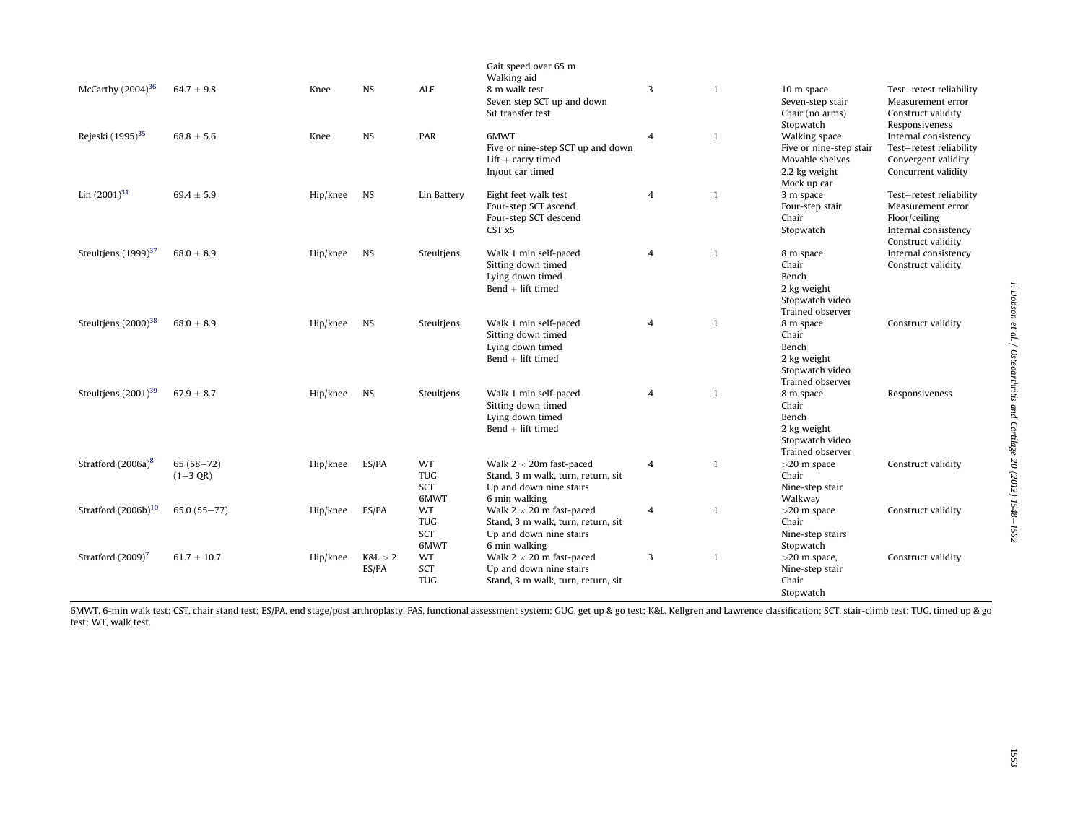| McCarthy $(2004)^{36}$          | $64.7 \pm 9.8$              | Knee     | <b>NS</b>        | ALF                             | Gait speed over 65 m<br>Walking aid<br>8 m walk test                                                              | 3              | $\mathbf{1}$   | 10 m space                                                                                  | Test-retest reliability                                                                                     |
|---------------------------------|-----------------------------|----------|------------------|---------------------------------|-------------------------------------------------------------------------------------------------------------------|----------------|----------------|---------------------------------------------------------------------------------------------|-------------------------------------------------------------------------------------------------------------|
|                                 |                             |          |                  |                                 | Seven step SCT up and down<br>Sit transfer test                                                                   |                |                | Seven-step stair<br>Chair (no arms)<br>Stopwatch                                            | Measurement error<br>Construct validity<br>Responsiveness                                                   |
| Rejeski (1995) <sup>35</sup>    | $68.8 \pm 5.6$              | Knee     | <b>NS</b>        | PAR                             | 6MWT<br>Five or nine-step SCT up and down<br>Lift $+$ carry timed<br>In/out car timed                             | 4              | $\mathbf{1}$   | Walking space<br>Five or nine-step stair<br>Movable shelves<br>2.2 kg weight<br>Mock up car | Internal consistency<br>Test-retest reliability<br>Convergent validity<br>Concurrent validity               |
| Lin $(2001)^{31}$               | $69.4 \pm 5.9$              | Hip/knee | <b>NS</b>        | Lin Battery                     | Eight feet walk test<br>Four-step SCT ascend<br>Four-step SCT descend<br>CST <sub>x5</sub>                        | $\overline{4}$ | $\mathbf{1}$   | 3 m space<br>Four-step stair<br>Chair<br>Stopwatch                                          | Test-retest reliability<br>Measurement error<br>Floor/ceiling<br>Internal consistency<br>Construct validity |
| Steultjens $(1999)^{37}$        | $68.0 \pm 8.9$              | Hip/knee | <b>NS</b>        | Steultjens                      | Walk 1 min self-paced<br>Sitting down timed<br>Lying down timed<br>$Bend + lift$ timed                            | 4              | $\mathbf{1}$   | 8 m space<br>Chair<br>Bench<br>2 kg weight<br>Stopwatch video<br>Trained observer           | Internal consistency<br>Construct validity                                                                  |
| Steultjens (2000) <sup>38</sup> | $68.0 \pm 8.9$              | Hip/knee | <b>NS</b>        | Steultjens                      | Walk 1 min self-paced<br>Sitting down timed<br>Lying down timed<br>Bend $+$ lift timed                            | $\overline{4}$ | $\mathbf{1}$   | 8 m space<br>Chair<br>Bench<br>2 kg weight<br>Stopwatch video<br>Trained observer           | Construct validity                                                                                          |
| Steultjens $(2001)^{39}$        | $67.9 \pm 8.7$              | Hip/knee | NS               | Steultjens                      | Walk 1 min self-paced<br>Sitting down timed<br>Lying down timed<br>$Bend + lift$ timed                            | $\overline{4}$ | $\mathbf{1}$   | 8 m space<br>Chair<br>Bench<br>2 kg weight<br>Stopwatch video<br>Trained observer           | Responsiveness                                                                                              |
| Stratford (2006a) <sup>8</sup>  | $65(58-72)$<br>$(1 - 3$ QR) | Hip/knee | ES/PA            | WT<br><b>TUG</b><br>SCT<br>6MWT | Walk $2 \times 20m$ fast-paced<br>Stand, 3 m walk, turn, return, sit<br>Up and down nine stairs<br>6 min walking  | $\overline{4}$ | $\mathbf{1}$   | $>20$ m space<br>Chair<br>Nine-step stair<br>Walkway                                        | Construct validity                                                                                          |
| Stratford $(2006b)^{10}$        | $65.0(55 - 77)$             | Hip/knee | ES/PA            | WT<br><b>TUG</b><br>SCT<br>6MWT | Walk $2 \times 20$ m fast-paced<br>Stand, 3 m walk, turn, return, sit<br>Up and down nine stairs<br>6 min walking | 4              | $\mathbf{1}$   | $>$ 20 m space<br>Chair<br>Nine-step stairs<br>Stopwatch                                    | Construct validity                                                                                          |
| Stratford (2009) <sup>7</sup>   | $61.7 \pm 10.7$             | Hip/knee | K&L > 2<br>ES/PA | <b>WT</b><br>SCT<br><b>TUG</b>  | Walk $2 \times 20$ m fast-paced<br>Up and down nine stairs<br>Stand, 3 m walk, turn, return, sit                  | 3              | $\overline{1}$ | $>$ 20 m space,<br>Nine-step stair<br>Chair<br>Stopwatch                                    | Construct validity                                                                                          |

6MWT, 6-min walk test; CST, chair stand test; ES/PA, end stage/post arthroplasty, FAS, functional assessment system; GUG, get up & go test; K&L, Kellgren and Lawrence classification; SCT, stair-climb test; TUG, timed up & go test; WT, walk test.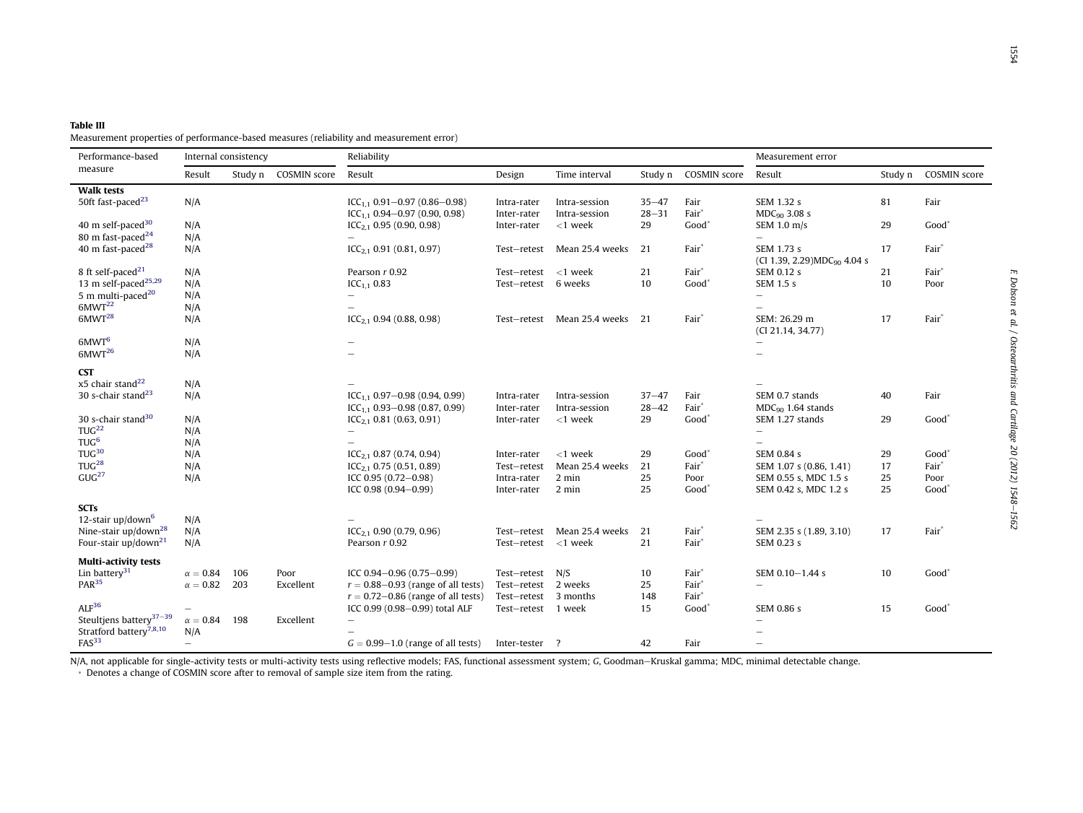<span id="page-6-0"></span>

| Table III                                                                                |
|------------------------------------------------------------------------------------------|
| Measurement properties of performance-based measures (reliability and measurement error) |

| Performance-based                   | Internal consistency     |         |              | Reliability                            |                     | Measurement error              |           |                   |                                          |         |                   |
|-------------------------------------|--------------------------|---------|--------------|----------------------------------------|---------------------|--------------------------------|-----------|-------------------|------------------------------------------|---------|-------------------|
| measure                             | Result                   | Study n | COSMIN score | Result                                 | Design              | Time interval                  | Study n   | COSMIN score      | Result                                   | Study n | COSMIN score      |
| <b>Walk tests</b>                   |                          |         |              |                                        |                     |                                |           |                   |                                          |         |                   |
| 50ft fast-paced <sup>23</sup>       | N/A                      |         |              | $ICC1.1$ 0.91-0.97 (0.86-0.98)         | Intra-rater         | Intra-session                  | $35 - 47$ | Fair              | SEM 1.32 s                               | 81      | Fair              |
|                                     |                          |         |              | $ICC1.1$ 0.94-0.97 (0.90, 0.98)        | Inter-rater         | Intra-session                  | $28 - 31$ | Fair*             | $MDC_{90}$ 3.08 s                        |         |                   |
| 40 m self-paced <sup>30</sup>       | N/A                      |         |              | $ICC2.1$ 0.95 (0.90, 0.98)             | Inter-rater         | $<$ 1 week                     | 29        | Good <sup>®</sup> | SEM 1.0 m/s                              | 29      | Good <sup>*</sup> |
| 80 m fast-paced $^{24}$             | N/A                      |         |              |                                        |                     |                                |           |                   | $\overline{\phantom{0}}$                 |         |                   |
| 40 m fast-paced $^{28}$             | N/A                      |         |              | $ICC2.1$ 0.91 (0.81, 0.97)             | Test-retest         | Mean 25.4 weeks                | 21        | Fair <sup>*</sup> | SEM 1.73 s                               | 17      | Fair <sup>*</sup> |
|                                     |                          |         |              |                                        |                     |                                |           |                   | (CI 1.39, 2.29) MDC <sub>90</sub> 4.04 s |         |                   |
| 8 ft self-paced <sup>21</sup>       | N/A                      |         |              | Pearson $r$ 0.92                       | Test-retest         | $<$ 1 week                     | 21        | Fair*             | SEM 0.12 s                               | 21      | Fair <sup>*</sup> |
| 13 m self-paced <sup>25,29</sup>    | N/A                      |         |              | ICC <sub>1.1</sub> 0.83                | Test-retest 6 weeks |                                | 10        | Good <sup>*</sup> | SEM 1.5 s                                | 10      | Poor              |
| 5 m multi-paced <sup>20</sup>       | N/A                      |         |              |                                        |                     |                                |           |                   | $\overline{\phantom{0}}$                 |         |                   |
| 6MWT <sup>22</sup>                  | N/A                      |         |              |                                        |                     |                                |           |                   |                                          |         |                   |
| 6MWT <sup>28</sup>                  | N/A                      |         |              | $ICC2.1$ 0.94 (0.88, 0.98)             |                     | Test-retest Mean 25.4 weeks 21 |           | Fair*             | SEM: 26.29 m                             | 17      | Fair*             |
|                                     |                          |         |              |                                        |                     |                                |           |                   | (CI 21.14, 34.77)                        |         |                   |
| 6MWT <sup>6</sup>                   | N/A                      |         |              |                                        |                     |                                |           |                   |                                          |         |                   |
| 6MWT <sup>26</sup>                  | N/A                      |         |              |                                        |                     |                                |           |                   | $\equiv$                                 |         |                   |
|                                     |                          |         |              |                                        |                     |                                |           |                   |                                          |         |                   |
| <b>CST</b>                          |                          |         |              |                                        |                     |                                |           |                   |                                          |         |                   |
| $x5$ chair stand <sup>22</sup>      | N/A                      |         |              |                                        |                     |                                |           |                   |                                          |         |                   |
| 30 s-chair stand $^{23}$            | N/A                      |         |              | $ICC1.1$ 0.97-0.98 (0.94, 0.99)        | Intra-rater         | Intra-session                  | $37 - 47$ | Fair              | SEM 0.7 stands                           | 40      | Fair              |
|                                     |                          |         |              | $ICC1.1$ 0.93-0.98 (0.87, 0.99)        | Inter-rater         | Intra-session                  | $28 - 42$ | Fair*             | $MDC_{90}$ 1.64 stands                   |         |                   |
| 30 s-chair stand <sup>30</sup>      | N/A                      |         |              | $ICC2.1$ 0.81 (0.63, 0.91)             | Inter-rater         | $<$ 1 week                     | 29        | Good              | SEM 1.27 stands                          | 29      | Good <sup>*</sup> |
| TUG <sup>22</sup>                   | N/A                      |         |              |                                        |                     |                                |           |                   | $\overline{\phantom{0}}$                 |         |                   |
| TUG <sup>6</sup>                    | N/A                      |         |              |                                        |                     |                                |           |                   |                                          |         |                   |
| TUG <sup>30</sup>                   | N/A                      |         |              | $ICC2.1$ 0.87 (0.74, 0.94)             | Inter-rater         | $<$ 1 week                     | 29        | Good              | SEM 0.84 s                               | 29      | Good <sup>*</sup> |
| TUG <sup>28</sup>                   | N/A                      |         |              | $ICC2.1$ 0.75 (0.51, 0.89)             | Test-retest         | Mean 25.4 weeks                | 21        | Fair*             | SEM 1.07 s (0.86, 1.41)                  | 17      | Fair <sup>*</sup> |
| GUG <sup>27</sup>                   | N/A                      |         |              | ICC 0.95 (0.72-0.98)                   | Intra-rater         | 2 min                          | 25        | Poor              | SEM 0.55 s, MDC 1.5 s                    | 25      | Poor              |
|                                     |                          |         |              | ICC 0.98 (0.94-0.99)                   | Inter-rater         | $2 \text{ min}$                | 25        | Good <sup>*</sup> | SEM 0.42 s, MDC 1.2 s                    | 25      | Good <sup>*</sup> |
|                                     |                          |         |              |                                        |                     |                                |           |                   |                                          |         |                   |
| <b>SCTs</b>                         |                          |         |              |                                        |                     |                                |           |                   |                                          |         |                   |
| 12-stair up/down <sup>6</sup>       | N/A                      |         |              |                                        |                     |                                |           |                   |                                          |         |                   |
| Nine-stair up/down <sup>28</sup>    | N/A                      |         |              | $ICC2.1$ 0.90 (0.79, 0.96)             | Test-retest         | Mean 25.4 weeks                | 21        | Fair <sup>*</sup> | SEM 2.35 s (1.89, 3.10)                  | 17      | Fair*             |
| Four-stair up/down <sup>21</sup>    | N/A                      |         |              | Pearson r 0.92                         | Test-retest         | $<$ 1 week                     | 21        | Fair <sup>*</sup> | SEM 0.23 s                               |         |                   |
| <b>Multi-activity tests</b>         |                          |         |              |                                        |                     |                                |           |                   |                                          |         |                   |
| Lin battery <sup>31</sup>           | $\alpha = 0.84$          | 106     | Poor         | ICC 0.94-0.96 (0.75-0.99)              | Test-retest N/S     |                                | 10        | Fair <sup>*</sup> | SEM 0.10-1.44 s                          | 10      | $Good*$           |
| PAR <sup>35</sup>                   | $\alpha=0.82$            | 203     | Excellent    | $r = 0.88 - 0.93$ (range of all tests) |                     | 2 weeks                        | 25        | Fair <sup>*</sup> |                                          |         |                   |
|                                     |                          |         |              |                                        | Test-retest         |                                |           | Fair*             |                                          |         |                   |
| ALF <sup>36</sup>                   |                          |         |              | $r = 0.72 - 0.86$ (range of all tests) | Test-retest         | 3 months                       | 148       |                   |                                          |         |                   |
|                                     |                          |         |              | ICC 0.99 (0.98-0.99) total ALF         | Test-retest 1 week  |                                | 15        | Good <sup>®</sup> | SEM 0.86 s                               | 15      | Good <sup>*</sup> |
| Steultjens battery $37-39$          | $\alpha = 0.84$          | 198     | Excellent    |                                        |                     |                                |           |                   |                                          |         |                   |
| Stratford battery <sup>7,8,10</sup> | N/A                      |         |              |                                        |                     |                                |           |                   |                                          |         |                   |
| FAS <sup>33</sup>                   | $\overline{\phantom{0}}$ |         |              | $G = 0.99 - 1.0$ (range of all tests)  | Inter-tester        | $\overline{\phantom{a}}$       | 42        | Fair              |                                          |         |                   |

N/A, not applicable for single-activity tests or multi-activity tests using reflective models; FAS, functional assessment system; G, Goodman—Kruskal gamma; MDC, minimal detectable change.<br>• Denotes a change of COSMIN score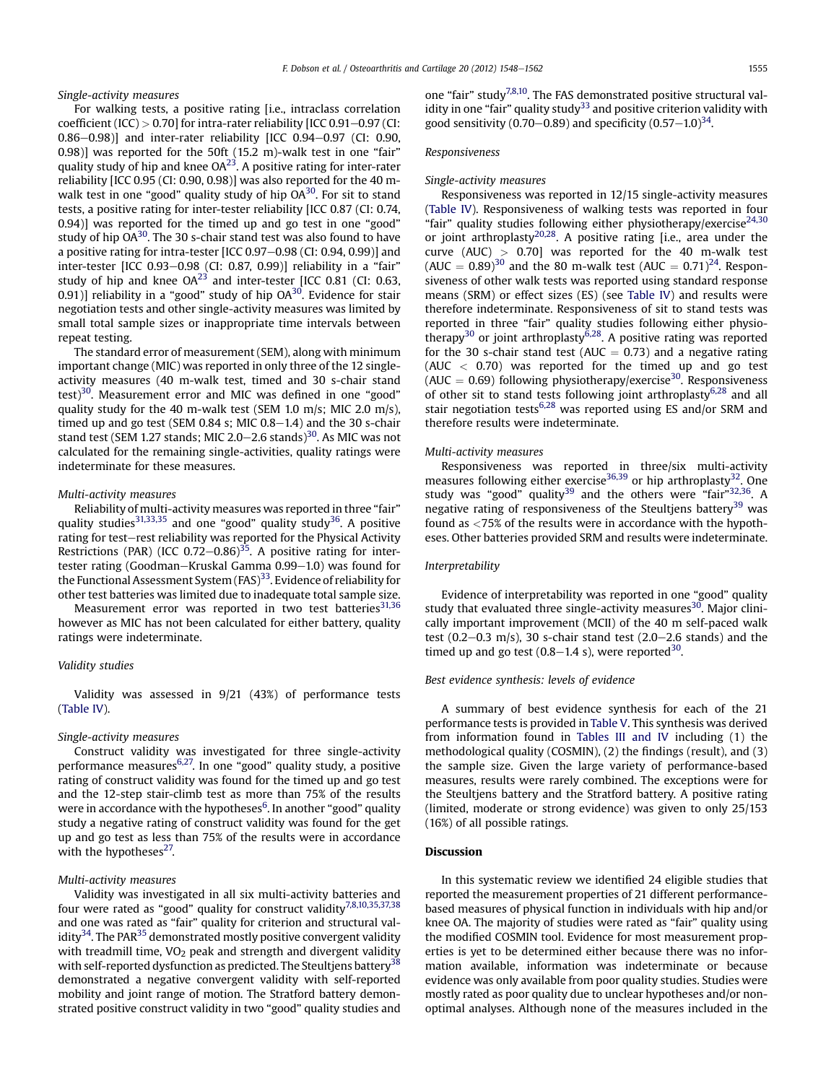Single-activity measures

For walking tests, a positive rating [i.e., intraclass correlation coefficient (ICC)  $> 0.70$ ] for intra-rater reliability [ICC 0.91-0.97 (CI: 0.86-0.98)] and inter-rater reliability [ICC 0.94-0.97 (CI: 0.90, 0.98)] was reported for the 50ft (15.2 m)-walk test in one "fair" quality study of hip and knee OA<sup>[23](#page-13-0)</sup>. A positive rating for inter-rater reliability [ICC 0.95 (CI: 0.90, 0.98)] was also reported for the 40 mwalk test in one "good" quality study of hip  $OA^{30}$  $OA^{30}$  $OA^{30}$ . For sit to stand tests, a positive rating for inter-tester reliability [ICC 0.87 (CI: 0.74, 0.94)] was reported for the timed up and go test in one "good" study of hip  $OA^{30}$  $OA^{30}$  $OA^{30}$ . The 30 s-chair stand test was also found to have a positive rating for intra-tester [ICC 0.97 $-0.98$  (CI: 0.94, 0.99)] and inter-tester [ICC  $0.93-0.98$  (CI: 0.87, 0.99)] reliability in a "fair" study of hip and knee  $OA^{23}$  $OA^{23}$  $OA^{23}$  and inter-tester [ICC 0.81 (CI: 0.63, 0.91)] reliability in a "good" study of hip  $OA^{30}$  $OA^{30}$  $OA^{30}$ . Evidence for stair negotiation tests and other single-activity measures was limited by small total sample sizes or inappropriate time intervals between repeat testing.

The standard error of measurement (SEM), along with minimum important change (MIC) was reported in only three of the 12 singleactivity measures (40 m-walk test, timed and 30 s-chair stand  $test$ <sup>30</sup>. Measurement error and MIC was defined in one "good" quality study for the 40 m-walk test (SEM 1.0 m/s; MIC 2.0 m/s), timed up and go test (SEM 0.84 s; MIC  $0.8-1.4$ ) and the 30 s-chair stand test (SEM 1.27 stands; MIC 2.0–2.6 stands)<sup>[30](#page-13-0)</sup>. As MIC was not calculated for the remaining single-activities, quality ratings were indeterminate for these measures.

# Multi-activity measures

Reliability of multi-activity measures was reported in three "fair" quality studies $31,33,35$  and one "good" quality study $36$ . A positive rating for test-rest reliability was reported for the Physical Activity Restrictions (PAR) (ICC  $0.72-0.86$ )<sup>35</sup>. A positive rating for intertester rating (Goodman-Kruskal Gamma  $0.99-1.0$ ) was found for the Functional Assessment System (FAS)<sup>[33](#page-13-0)</sup>. Evidence of reliability for other test batteries was limited due to inadequate total sample size.

Measurement error was reported in two test batteries $31,36$ however as MIC has not been calculated for either battery, quality ratings were indeterminate.

# Validity studies

Validity was assessed in 9/21 (43%) of performance tests ([Table IV\)](#page-8-0).

#### Single-activity measures

Construct validity was investigated for three single-activity performance measures<sup>6,27</sup>. In one "good" quality study, a positive rating of construct validity was found for the timed up and go test and the 12-step stair-climb test as more than 75% of the results were in accordance with the hypotheses<sup>[6](#page-12-0)</sup>. In another "good" quality study a negative rating of construct validity was found for the get up and go test as less than 75% of the results were in accordance with the hypotheses $27$ .

# Multi-activity measures

Validity was investigated in all six multi-activity batteries and four were rated as "good" quality for construct validity $7,8,10,35,37,38$ and one was rated as "fair" quality for criterion and structural validity<sup>34</sup>. The PAR<sup>35</sup> demonstrated mostly positive convergent validity with treadmill time,  $VO<sub>2</sub>$  peak and strength and divergent validity with self-reported dysfunction as predicted. The Steultjens battery<sup>38</sup> demonstrated a negative convergent validity with self-reported mobility and joint range of motion. The Stratford battery demonstrated positive construct validity in two "good" quality studies and one "fair" study<sup>[7,8,10](#page-13-0)</sup>. The FAS demonstrated positive structural validity in one "fair" quality study<sup>33</sup> and positive criterion validity with good sensitivity (0.70–0.89) and specificity  $(0.57-1.0)^{34}$ .

#### Responsiveness

#### Single-activity measures

Responsiveness was reported in 12/15 single-activity measures ([Table IV\)](#page-8-0). Responsiveness of walking tests was reported in four "fair" quality studies following either physiotherapy/exercise<sup>[24,30](#page-13-0)</sup> or joint arthroplasty<sup>[20,28](#page-13-0)</sup>. A positive rating [i.e., area under the curve (AUC)  $> 0.70$ ] was reported for the 40 m-walk test  $(AUC = 0.89)^{30}$  $(AUC = 0.89)^{30}$  $(AUC = 0.89)^{30}$  and the 80 m-walk test (AUC = 0.71)<sup>24</sup>. Responsiveness of other walk tests was reported using standard response means (SRM) or effect sizes (ES) (see [Table IV](#page-8-0)) and results were therefore indeterminate. Responsiveness of sit to stand tests was reported in three "fair" quality studies following either physio-therapy<sup>[30](#page-13-0)</sup> or joint arthroplasty<sup>6,28</sup>. A positive rating was reported for the 30 s-chair stand test (AUC  $= 0.73$ ) and a negative rating  $(AUC < 0.70)$  was reported for the timed up and go test  $(AUC = 0.69)$  following physiotherapy/exercise<sup>30</sup>. Responsiveness of other sit to stand tests following joint arthroplasty<sup>6,28</sup> and all stair negotiation tests<sup>[6,28](#page-12-0)</sup> was reported using ES and/or SRM and therefore results were indeterminate.

# Multi-activity measures

Responsiveness was reported in three/six multi-activity measures following either exercise<sup>36,39</sup> or hip arthroplasty<sup>32</sup>. One study was "good" quality<sup>[39](#page-13-0)</sup> and the others were "fair"<sup>[32,36](#page-13-0)</sup>. A negative rating of responsiveness of the Steultiens battery<sup>39</sup> was found as <75% of the results were in accordance with the hypotheses. Other batteries provided SRM and results were indeterminate.

#### Interpretability

Evidence of interpretability was reported in one "good" quality study that evaluated three single-activity measures<sup>30</sup>. Major clinically important improvement (MCII) of the 40 m self-paced walk test (0.2-0.3 m/s), 30 s-chair stand test (2.0-2.6 stands) and the timed up and go test (0.8–1.4 s), were reported<sup>30</sup>.

#### Best evidence synthesis: levels of evidence

A summary of best evidence synthesis for each of the 21 performance tests is provided in [Table V.](#page-10-0) This synthesis was derived from information found in [Tables III and IV](#page-6-0) including (1) the methodological quality (COSMIN), (2) the findings (result), and (3) the sample size. Given the large variety of performance-based measures, results were rarely combined. The exceptions were for the Steultjens battery and the Stratford battery. A positive rating (limited, moderate or strong evidence) was given to only 25/153 (16%) of all possible ratings.

# Discussion

In this systematic review we identified 24 eligible studies that reported the measurement properties of 21 different performancebased measures of physical function in individuals with hip and/or knee OA. The majority of studies were rated as "fair" quality using the modified COSMIN tool. Evidence for most measurement properties is yet to be determined either because there was no information available, information was indeterminate or because evidence was only available from poor quality studies. Studies were mostly rated as poor quality due to unclear hypotheses and/or nonoptimal analyses. Although none of the measures included in the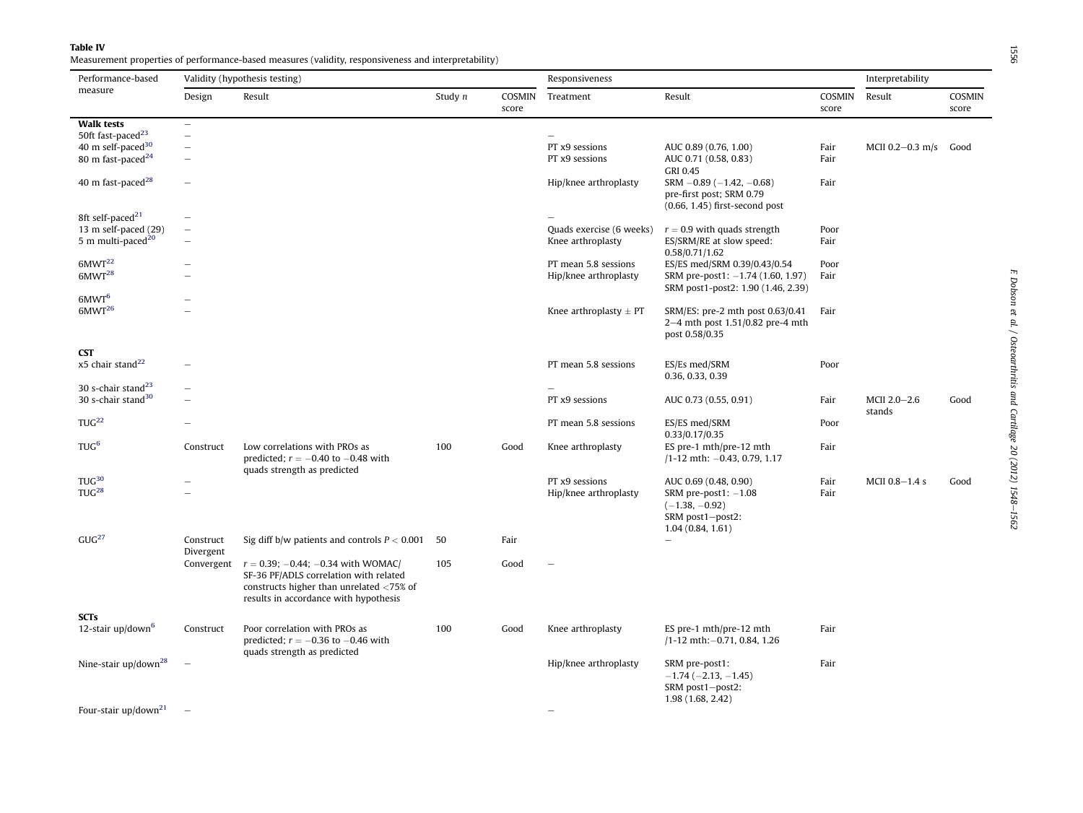#### <span id="page-8-0"></span>Table IV

Measurement properties of performance-based measures (validity, responsiveness and interpretability)

| Performance-based                            |                          | Validity (hypothesis testing)                                                                                                                                           |           |                 | Responsiveness                          | Interpretability                                                                                            |                 |                            |                 |
|----------------------------------------------|--------------------------|-------------------------------------------------------------------------------------------------------------------------------------------------------------------------|-----------|-----------------|-----------------------------------------|-------------------------------------------------------------------------------------------------------------|-----------------|----------------------------|-----------------|
| measure                                      | Design                   | Result                                                                                                                                                                  | Study $n$ | COSMIN<br>score | Treatment                               | Result                                                                                                      | COSMIN<br>score | Result                     | COSMIN<br>score |
| <b>Walk tests</b>                            | $\overline{\phantom{m}}$ |                                                                                                                                                                         |           |                 |                                         |                                                                                                             |                 |                            |                 |
| 50ft fast-paced <sup>23</sup>                | $\equiv$                 |                                                                                                                                                                         |           |                 |                                         |                                                                                                             |                 |                            |                 |
| 40 m self-paced <sup>30</sup>                |                          |                                                                                                                                                                         |           |                 | PT x9 sessions                          | AUC 0.89 (0.76, 1.00)                                                                                       | Fair            | MCII $0.2-0.3$ m/s Good    |                 |
| 80 m fast-paced <sup>24</sup>                |                          |                                                                                                                                                                         |           |                 | PT x9 sessions                          | AUC 0.71 (0.58, 0.83)<br>GRI 0.45                                                                           | Fair            |                            |                 |
| 40 m fast-paced <sup>28</sup>                |                          |                                                                                                                                                                         |           |                 | Hip/knee arthroplasty                   | SRM $-0.89$ ( $-1.42$ , $-0.68$ )<br>pre-first post; SRM 0.79<br>$(0.66, 1.45)$ first-second post           | Fair            |                            |                 |
| 8ft self-paced <sup>21</sup>                 |                          |                                                                                                                                                                         |           |                 |                                         |                                                                                                             |                 |                            |                 |
| 13 m self-paced (29)                         |                          |                                                                                                                                                                         |           |                 | Quads exercise (6 weeks)                | $r = 0.9$ with quads strength                                                                               | Poor            |                            |                 |
| 5 m multi-paced <sup>20</sup>                |                          |                                                                                                                                                                         |           |                 | Knee arthroplasty                       | ES/SRM/RE at slow speed:<br>0.58/0.71/1.62                                                                  | Fair            |                            |                 |
| $6MWT^{22}$                                  |                          |                                                                                                                                                                         |           |                 | PT mean 5.8 sessions                    | ES/ES med/SRM 0.39/0.43/0.54                                                                                | Poor            |                            |                 |
| 6MWT <sup>28</sup>                           |                          |                                                                                                                                                                         |           |                 | Hip/knee arthroplasty                   | SRM pre-post1: -1.74 (1.60, 1.97)<br>SRM post1-post2: 1.90 (1.46, 2.39)                                     | Fair            |                            |                 |
| 6MWT <sup>6</sup><br>$6MWT^{26}$             |                          |                                                                                                                                                                         |           |                 | Knee arthroplasty $\pm$ PT              | SRM/ES: pre-2 mth post 0.63/0.41<br>2-4 mth post 1.51/0.82 pre-4 mth<br>post 0.58/0.35                      | Fair            |                            |                 |
|                                              |                          |                                                                                                                                                                         |           |                 |                                         |                                                                                                             |                 |                            |                 |
| <b>CST</b><br>$x5$ chair stand <sup>22</sup> |                          |                                                                                                                                                                         |           |                 | PT mean 5.8 sessions                    | ES/Es med/SRM<br>0.36, 0.33, 0.39                                                                           | Poor            |                            |                 |
| 30 s-chair stand $^{23}$                     |                          |                                                                                                                                                                         |           |                 |                                         |                                                                                                             |                 |                            |                 |
| 30 s-chair stand <sup>30</sup>               |                          |                                                                                                                                                                         |           |                 | PT x9 sessions                          | AUC 0.73 (0.55, 0.91)                                                                                       | Fair            | $MCII 2.0 - 2.6$<br>stands | Good            |
| TUG <sup>22</sup>                            |                          |                                                                                                                                                                         |           |                 | PT mean 5.8 sessions                    | ES/ES med/SRM<br>0.33/0.17/0.35                                                                             | Poor            |                            |                 |
| TUG <sup>6</sup>                             | Construct                | Low correlations with PROs as<br>predicted; $r = -0.40$ to $-0.48$ with<br>quads strength as predicted                                                                  | 100       | Good            | Knee arthroplasty                       | ES pre-1 mth/pre-12 mth<br>$/1-12$ mth: $-0.43$ , 0.79, 1.17                                                | Fair            |                            |                 |
| $TUG^{30}$<br>TUG <sup>28</sup>              |                          |                                                                                                                                                                         |           |                 | PT x9 sessions<br>Hip/knee arthroplasty | AUC 0.69 (0.48, 0.90)<br>SRM pre-post1: $-1.08$<br>$(-1.38, -0.92)$<br>SRM post1-post2:<br>1.04(0.84, 1.61) | Fair<br>Fair    | MCII 0.8-1.4 s             | Good            |
| GUG <sup>27</sup>                            | Construct                | Sig diff b/w patients and controls $P < 0.001$ 50                                                                                                                       |           | Fair            |                                         |                                                                                                             |                 |                            |                 |
|                                              | Divergent                |                                                                                                                                                                         |           |                 |                                         |                                                                                                             |                 |                            |                 |
|                                              | Convergent               | $r = 0.39$ ; -0.44; -0.34 with WOMAC/<br>SF-36 PF/ADLS correlation with related<br>constructs higher than unrelated $<$ 75% of<br>results in accordance with hypothesis | 105       | Good            |                                         |                                                                                                             |                 |                            |                 |
| <b>SCTs</b>                                  |                          |                                                                                                                                                                         |           |                 |                                         |                                                                                                             |                 |                            |                 |
| 12-stair $up/down6$                          | Construct                | Poor correlation with PROs as<br>predicted; $r = -0.36$ to $-0.46$ with<br>quads strength as predicted                                                                  | 100       | Good            | Knee arthroplasty                       | ES pre-1 mth/pre-12 mth<br>$/1-12$ mth: $-0.71$ , 0.84, 1.26                                                | Fair            |                            |                 |
| Nine-stair up/down <sup>28</sup>             | $\equiv$                 |                                                                                                                                                                         |           |                 | Hip/knee arthroplasty                   | SRM pre-post1:<br>$-1.74$ ( $-2.13$ , $-1.45$ )<br>SRM post1-post2:<br>1.98 (1.68, 2.42)                    | Fair            |                            |                 |
| Four-stair up/down <sup>21</sup>             |                          |                                                                                                                                                                         |           |                 |                                         |                                                                                                             |                 |                            |                 |

9551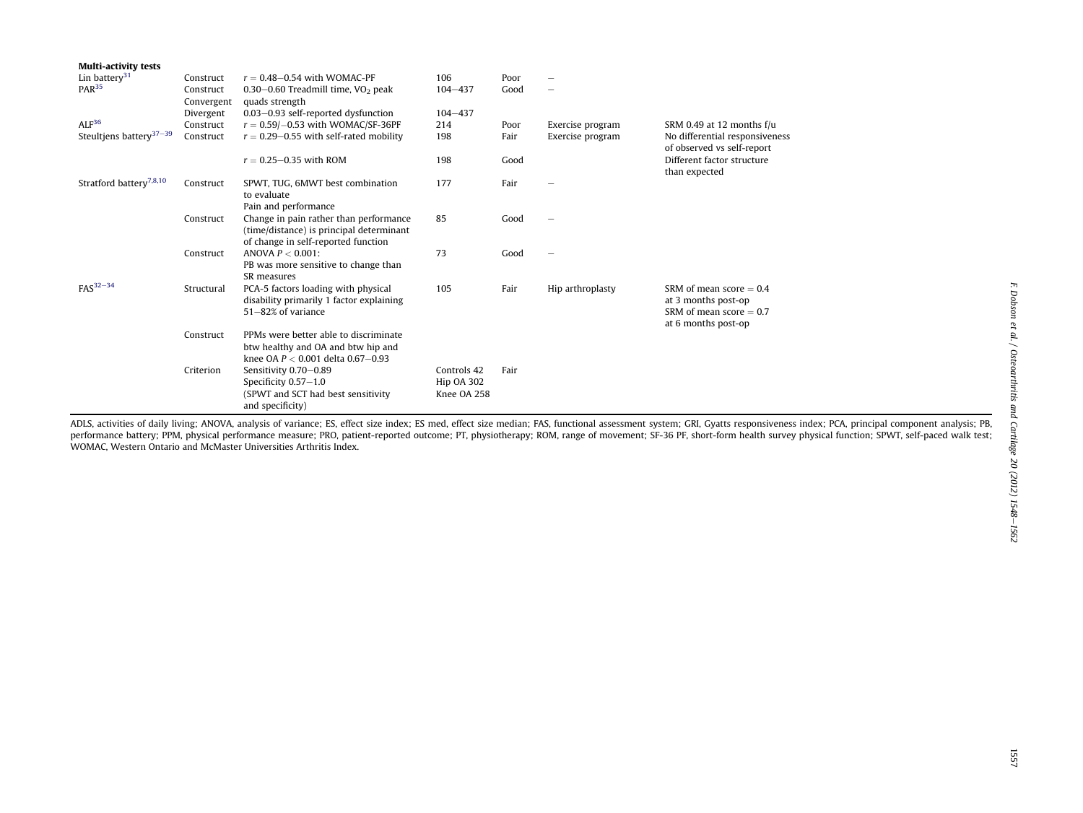| <b>Multi-activity tests</b>         |            |                                                    |                   |      |                  |                                                              |
|-------------------------------------|------------|----------------------------------------------------|-------------------|------|------------------|--------------------------------------------------------------|
| Lin battery $31$                    | Construct  | $r = 0.48 - 0.54$ with WOMAC-PF                    | 106               | Poor |                  |                                                              |
| PAR <sup>35</sup>                   | Construct  | $0.30 - 0.60$ Treadmill time, VO <sub>2</sub> peak | $104 - 437$       | Good |                  |                                                              |
|                                     | Convergent | quads strength                                     |                   |      |                  |                                                              |
|                                     | Divergent  | 0.03-0.93 self-reported dysfunction                | $104 - 437$       |      |                  |                                                              |
| ALF <sup>36</sup>                   | Construct  | $r = 0.59/-0.53$ with WOMAC/SF-36PF                | 214               | Poor | Exercise program | SRM 0.49 at 12 months $f/u$                                  |
| Steultjens battery <sup>37-39</sup> | Construct  | $r = 0.29 - 0.55$ with self-rated mobility         | 198               | Fair | Exercise program | No differential responsiveness<br>of observed vs self-report |
|                                     |            | $r = 0.25 - 0.35$ with ROM                         | 198               | Good |                  | Different factor structure<br>than expected                  |
| Stratford battery <sup>7,8,10</sup> | Construct  | SPWT, TUG, 6MWT best combination                   | 177               | Fair |                  |                                                              |
|                                     |            | to evaluate                                        |                   |      |                  |                                                              |
|                                     |            | Pain and performance                               |                   |      |                  |                                                              |
|                                     | Construct  | Change in pain rather than performance             | 85                | Good |                  |                                                              |
|                                     |            | (time/distance) is principal determinant           |                   |      |                  |                                                              |
|                                     |            | of change in self-reported function                |                   |      |                  |                                                              |
|                                     | Construct  | ANOVA $P < 0.001$ :                                | 73                | Good |                  |                                                              |
|                                     |            | PB was more sensitive to change than               |                   |      |                  |                                                              |
|                                     |            | SR measures                                        |                   |      |                  |                                                              |
| $FAS^{32-34}$                       | Structural | PCA-5 factors loading with physical                | 105               | Fair | Hip arthroplasty | SRM of mean score $= 0.4$                                    |
|                                     |            | disability primarily 1 factor explaining           |                   |      |                  | at 3 months post-op                                          |
|                                     |            | 51-82% of variance                                 |                   |      |                  | SRM of mean score $= 0.7$<br>at 6 months post-op             |
|                                     | Construct  | PPMs were better able to discriminate              |                   |      |                  |                                                              |
|                                     |            | btw healthy and OA and btw hip and                 |                   |      |                  |                                                              |
|                                     |            | knee OA $P < 0.001$ delta 0.67–0.93                |                   |      |                  |                                                              |
|                                     | Criterion  | Sensitivity 0.70-0.89                              | Controls 42       | Fair |                  |                                                              |
|                                     |            | Specificity $0.57 - 1.0$                           | <b>Hip OA 302</b> |      |                  |                                                              |
|                                     |            | (SPWT and SCT had best sensitivity                 | Knee OA 258       |      |                  |                                                              |
|                                     |            | and specificity)                                   |                   |      |                  |                                                              |

ADLS, activities of daily living; ANOVA, analysis of variance; ES, effect size index; ES med, effect size median; FAS, functional assessment system; GRI, Gyatts responsiveness index; PCA, principal component analysis; PB, performance battery; PPM, physical performance measure; PRO, patient-reported outcome; PT, physiotherapy; ROM, range of movement; SF-36 PF, short-form health survey physical function; SPWT, self-paced walk test; WOMAC, Western Ontario and McMaster Universities Arthritis Index.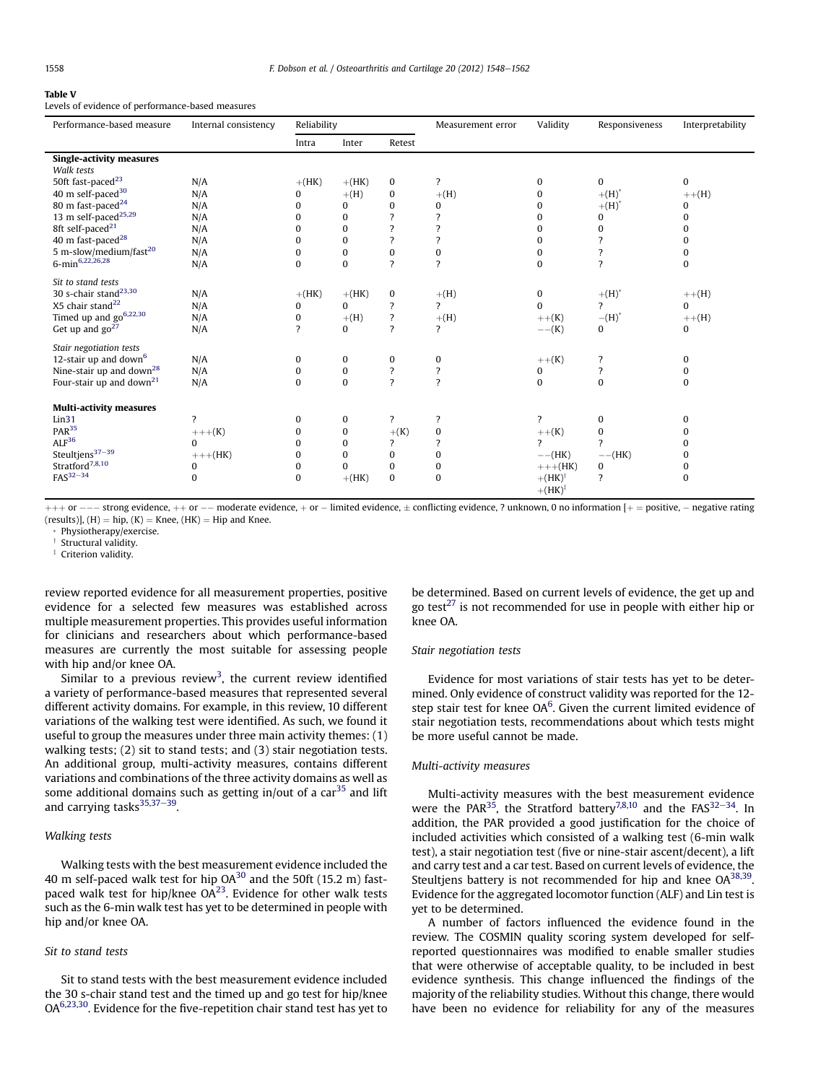#### <span id="page-10-0"></span>Table V

Levels of evidence of performance-based measures

| Performance-based measure                               | Internal consistency | Reliability                   |                        | Measurement error        | Validity                 | Responsiveness           | Interpretability         |              |
|---------------------------------------------------------|----------------------|-------------------------------|------------------------|--------------------------|--------------------------|--------------------------|--------------------------|--------------|
|                                                         |                      | Intra                         | Inter                  | Retest                   |                          |                          |                          |              |
| <b>Single-activity measures</b>                         |                      |                               |                        |                          |                          |                          |                          |              |
| Walk tests                                              |                      |                               |                        |                          |                          |                          |                          |              |
| 50ft fast-paced $^{23}$                                 | N/A                  | $+(HK)$                       | $+(HK)$                | 0                        | $\overline{\phantom{a}}$ | $\Omega$                 | $\mathbf{0}$             | $\mathbf{0}$ |
| 40 m self-paced $30$                                    | N/A                  | 0                             | $+(H)$                 | 0                        | $+(H)$                   | 0                        | $+(H)^*$                 | $++(H)$      |
| $80$ m fast-paced $24\,$                                | N/A                  | 0                             | 0                      | $\bf{0}$                 | 0                        | 0                        | $+(H)^*$                 | 0            |
| 13 m self-paced $^{25,29}$                              | N/A                  | $\Omega$                      | $\Omega$               | $\overline{\phantom{0}}$ |                          | 0                        | 0                        | 0            |
| 8ft self-paced $^{21}$                                  | N/A                  | $\Omega$                      | $\Omega$               | 7                        |                          | $\Omega$                 | $\mathbf{0}$             | 0            |
| $40$ m fast-paced $^{28}$                               | N/A                  | 0                             | $\mathbf{0}$           | $\overline{\phantom{a}}$ | 7                        | 0                        | $\overline{\phantom{a}}$ | 0            |
| 5 m-slow/medium/fast <sup>20</sup>                      | N/A                  | 0                             | $\mathbf{0}$           | $\boldsymbol{0}$         | 0                        | 0                        | ?                        | 0            |
| $6 - min^{6,22,26,28}$                                  | N/A                  | $\bf{0}$                      | $\Omega$               | $\overline{\phantom{a}}$ | $\gamma$                 | 0                        | $\overline{?}$           | $\mathbf{0}$ |
|                                                         |                      |                               |                        |                          |                          |                          |                          |              |
| Sit to stand tests<br>30 s-chair stand <sup>23,30</sup> | N/A                  |                               | $+(HK)$                | 0                        |                          | 0                        |                          |              |
| X5 chair stand <sup>22</sup>                            | N/A                  | $+(HK)$<br>0                  | $\Omega$               | $\overline{\phantom{a}}$ | $+(H)$<br>2              | $\Omega$                 | $+(H)^*$<br>2            | $++(H)$<br>0 |
| Timed up and $g0^{6,22,30}$                             | N/A                  |                               |                        | $\overline{\mathbf{?}}$  |                          |                          |                          |              |
|                                                         | N/A                  | 0<br>$\overline{\phantom{a}}$ | $+(H)$<br>$\mathbf{0}$ | $\overline{\phantom{a}}$ | $+(H)$<br>$\overline{?}$ | $++(K)$                  | $-(H)^*$<br>0            | $++(H)$<br>0 |
| Get up and $\rm{go}^{27}$                               |                      |                               |                        |                          |                          | $--(K)$                  |                          |              |
| Stair negotiation tests                                 |                      |                               |                        |                          |                          |                          |                          |              |
| 12-stair up and down $6$                                | N/A                  | 0                             | 0                      | 0                        | 0                        | $++(K)$                  | ?                        | 0            |
| Nine-stair up and down <sup>28</sup>                    | N/A                  | 0                             | 0                      | $\overline{\mathbf{?}}$  | $\overline{\mathbf{?}}$  | 0                        | $\overline{\phantom{a}}$ | 0            |
| Four-stair up and down <sup>21</sup>                    | N/A                  | $\Omega$                      | $\Omega$               | $\overline{?}$           | $\gamma$                 | $\Omega$                 | $\Omega$                 | $\Omega$     |
|                                                         |                      |                               |                        |                          |                          |                          |                          |              |
| <b>Multi-activity measures</b>                          |                      |                               |                        |                          |                          |                          |                          |              |
| Lin31<br>7                                              |                      | 0                             | 0                      | ?                        | ?                        | $\overline{?}$           | 0                        | 0            |
| PAR <sup>35</sup>                                       | $+++K)$              | 0                             | $\mathbf{0}$           | $+(K)$                   | 0                        | $++(K)$                  | $\bf{0}$                 | 0            |
| ALF <sup>36</sup><br>$\Omega$                           |                      | $\Omega$                      | $\Omega$               | ?                        | 7                        | $\overline{\phantom{a}}$ | $\overline{?}$           | $\Omega$     |
| Steultjens $37-39$                                      | $+++(HK)$            | 0                             | $\Omega$               | $\bf{0}$                 | $\Omega$                 | $--(HK)$                 | $--(HK)$                 | 0            |
| Stratford <sup>7,8,10</sup><br>0                        |                      | 0                             | $\Omega$               | $\bf{0}$                 | 0                        | $+++(HK)$                | 0                        | 0            |
| FAS <sup>32-34</sup><br>$\Omega$                        |                      | 0                             | $+(HK)$                | $\mathbf{0}$             | 0                        | $+(HK)^{\dagger}$        | ?                        | 0            |
|                                                         |                      |                               |                        |                          |                          | $+(HK)^{\ddagger}$       |                          |              |

 $++$  + or - - strong evidence, ++ or - moderate evidence, + or - limited evidence, ± conflicting evidence, ? unknown, 0 no information [+ = positive, - negative rating (results)],  $(H) = hip$ ,  $(K) = Knee$ ,  $(HK) = Hip$  and Knee.

Physiotherapy/exercise.

y Structural validity.

 $*$  Criterion validity.

review reported evidence for all measurement properties, positive evidence for a selected few measures was established across multiple measurement properties. This provides useful information for clinicians and researchers about which performance-based measures are currently the most suitable for assessing people with hip and/or knee OA.

Similar to a previous review<sup>[3](#page-12-0)</sup>, the current review identified a variety of performance-based measures that represented several different activity domains. For example, in this review, 10 different variations of the walking test were identified. As such, we found it useful to group the measures under three main activity themes: (1) walking tests; (2) sit to stand tests; and (3) stair negotiation tests. An additional group, multi-activity measures, contains different variations and combinations of the three activity domains as well as some additional domains such as getting in/out of a  $car<sup>35</sup>$  $car<sup>35</sup>$  $car<sup>35</sup>$  and lift and carrying tasks $35,37-39$  $35,37-39$  $35,37-39$ .

# Walking tests

Walking tests with the best measurement evidence included the 40 m self-paced walk test for hip OA $^{30}$  $^{30}$  $^{30}$  and the 50ft (15.2 m) fastpaced walk test for hip/knee OA $^{23}$  $^{23}$  $^{23}$ . Evidence for other walk tests such as the 6-min walk test has yet to be determined in people with hip and/or knee OA.

#### Sit to stand tests

Sit to stand tests with the best measurement evidence included the 30 s-chair stand test and the timed up and go test for hip/knee  $OA<sup>6,23,30</sup>$ . Evidence for the five-repetition chair stand test has yet to be determined. Based on current levels of evidence, the get up and go test<sup>27</sup> is not recommended for use in people with either hip or knee OA.

# Stair negotiation tests

Evidence for most variations of stair tests has yet to be determined. Only evidence of construct validity was reported for the 12 step stair test for knee  $OA<sup>6</sup>$ . Given the current limited evidence of stair negotiation tests, recommendations about which tests might be more useful cannot be made.

# Multi-activity measures

Multi-activity measures with the best measurement evidence were the PAR<sup>35</sup>, the Stratford battery<sup>7,8,10</sup> and the FAS<sup>[32](#page-13-0)-[34](#page-13-0)</sup>. In addition, the PAR provided a good justification for the choice of included activities which consisted of a walking test (6-min walk test), a stair negotiation test (five or nine-stair ascent/decent), a lift and carry test and a car test. Based on current levels of evidence, the Steultjens battery is not recommended for hip and knee  $OA^{38,39}$ . Evidence for the aggregated locomotor function (ALF) and Lin test is yet to be determined.

A number of factors influenced the evidence found in the review. The COSMIN quality scoring system developed for selfreported questionnaires was modified to enable smaller studies that were otherwise of acceptable quality, to be included in best evidence synthesis. This change influenced the findings of the majority of the reliability studies. Without this change, there would have been no evidence for reliability for any of the measures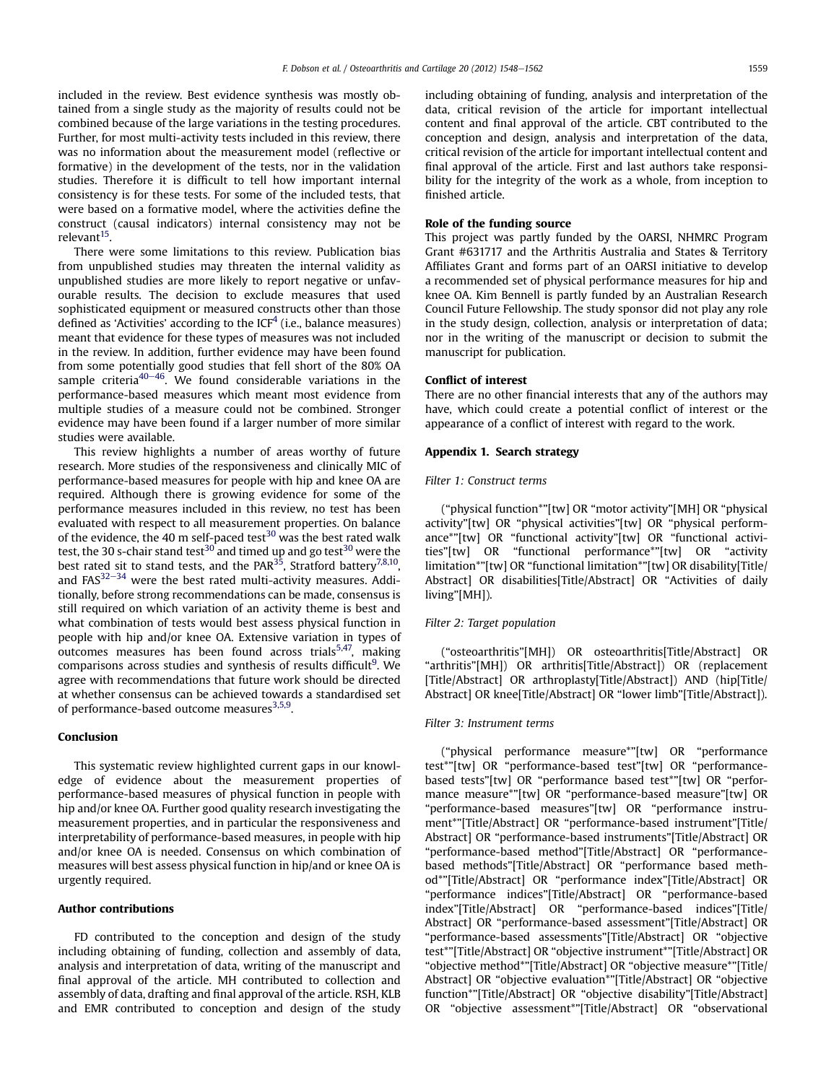<span id="page-11-0"></span>included in the review. Best evidence synthesis was mostly obtained from a single study as the majority of results could not be combined because of the large variations in the testing procedures. Further, for most multi-activity tests included in this review, there was no information about the measurement model (reflective or formative) in the development of the tests, nor in the validation studies. Therefore it is difficult to tell how important internal consistency is for these tests. For some of the included tests, that were based on a formative model, where the activities define the construct (causal indicators) internal consistency may not be relevant<sup>15</sup>.

There were some limitations to this review. Publication bias from unpublished studies may threaten the internal validity as unpublished studies are more likely to report negative or unfavourable results. The decision to exclude measures that used sophisticated equipment or measured constructs other than those defined as 'Activities' according to the  $ICF<sup>4</sup>$  $ICF<sup>4</sup>$  $ICF<sup>4</sup>$  (i.e., balance measures) meant that evidence for these types of measures was not included in the review. In addition, further evidence may have been found from some potentially good studies that fell short of the 80% OA sample criteria<sup>[40](#page-13-0)-46</sup>. We found considerable variations in the performance-based measures which meant most evidence from multiple studies of a measure could not be combined. Stronger evidence may have been found if a larger number of more similar studies were available.

This review highlights a number of areas worthy of future research. More studies of the responsiveness and clinically MIC of performance-based measures for people with hip and knee OA are required. Although there is growing evidence for some of the performance measures included in this review, no test has been evaluated with respect to all measurement properties. On balance of the evidence, the 40 m self-paced test $30$  was the best rated walk test, the [30](#page-13-0) s-chair stand test<sup>30</sup> and timed up and go test<sup>30</sup> were the best rated sit to stand tests, and the PAR<sup>35</sup>, Stratford battery<sup>7,8,10</sup>, and FAS $32-34$  $32-34$  $32-34$  were the best rated multi-activity measures. Additionally, before strong recommendations can be made, consensus is still required on which variation of an activity theme is best and what combination of tests would best assess physical function in people with hip and/or knee OA. Extensive variation in types of outcomes measures has been found across trials $5,47$ , making comparisons across studies and synthesis of results difficult $^9$  $^9$ . We agree with recommendations that future work should be directed at whether consensus can be achieved towards a standardised set of performance-based outcome measures $3,5,9$ .

#### Conclusion

This systematic review highlighted current gaps in our knowledge of evidence about the measurement properties of performance-based measures of physical function in people with hip and/or knee OA. Further good quality research investigating the measurement properties, and in particular the responsiveness and interpretability of performance-based measures, in people with hip and/or knee OA is needed. Consensus on which combination of measures will best assess physical function in hip/and or knee OA is urgently required.

#### Author contributions

FD contributed to the conception and design of the study including obtaining of funding, collection and assembly of data, analysis and interpretation of data, writing of the manuscript and final approval of the article. MH contributed to collection and assembly of data, drafting and final approval of the article. RSH, KLB and EMR contributed to conception and design of the study including obtaining of funding, analysis and interpretation of the data, critical revision of the article for important intellectual content and final approval of the article. CBT contributed to the conception and design, analysis and interpretation of the data, critical revision of the article for important intellectual content and final approval of the article. First and last authors take responsibility for the integrity of the work as a whole, from inception to finished article.

#### Role of the funding source

This project was partly funded by the OARSI, NHMRC Program Grant #631717 and the Arthritis Australia and States & Territory Affiliates Grant and forms part of an OARSI initiative to develop a recommended set of physical performance measures for hip and knee OA. Kim Bennell is partly funded by an Australian Research Council Future Fellowship. The study sponsor did not play any role in the study design, collection, analysis or interpretation of data; nor in the writing of the manuscript or decision to submit the manuscript for publication.

#### Conflict of interest

There are no other financial interests that any of the authors may have, which could create a potential conflict of interest or the appearance of a conflict of interest with regard to the work.

# Appendix 1. Search strategy

# Filter 1: Construct terms

("physical function\*"[tw] OR "motor activity"[MH] OR "physical activity"[tw] OR "physical activities"[tw] OR "physical performance\*"[tw] OR "functional activity"[tw] OR "functional activities"[tw] OR "functional performance\*"[tw] OR "activity limitation\*"[tw] OR "functional limitation\*"[tw] OR disability[Title/ Abstract] OR disabilities[Title/Abstract] OR "Activities of daily living"[MH]).

#### Filter 2: Target population

("osteoarthritis"[MH]) OR osteoarthritis[Title/Abstract] OR "arthritis"[MH]) OR arthritis[Title/Abstract]) OR (replacement [Title/Abstract] OR arthroplasty[Title/Abstract]) AND (hip[Title/ Abstract] OR knee[Title/Abstract] OR "lower limb"[Title/Abstract]).

# Filter 3: Instrument terms

("physical performance measure\*"[tw] OR "performance test\*"[tw] OR "performance-based test"[tw] OR "performancebased tests"[tw] OR "performance based test\*"[tw] OR "performance measure\*"[tw] OR "performance-based measure"[tw] OR "performance-based measures"[tw] OR "performance instrument\*"[Title/Abstract] OR "performance-based instrument"[Title/ Abstract] OR "performance-based instruments"[Title/Abstract] OR "performance-based method"[Title/Abstract] OR "performancebased methods"[Title/Abstract] OR "performance based method\*"[Title/Abstract] OR "performance index"[Title/Abstract] OR "performance indices"[Title/Abstract] OR "performance-based index"[Title/Abstract] OR "performance-based indices"[Title/ Abstract] OR "performance-based assessment"[Title/Abstract] OR "performance-based assessments"[Title/Abstract] OR "objective test\*"[Title/Abstract] OR "objective instrument\*"[Title/Abstract] OR "objective method\*"[Title/Abstract] OR "objective measure\*"[Title/ Abstract] OR "objective evaluation\*"[Title/Abstract] OR "objective function\*"[Title/Abstract] OR "objective disability"[Title/Abstract] OR "objective assessment\*"[Title/Abstract] OR "observational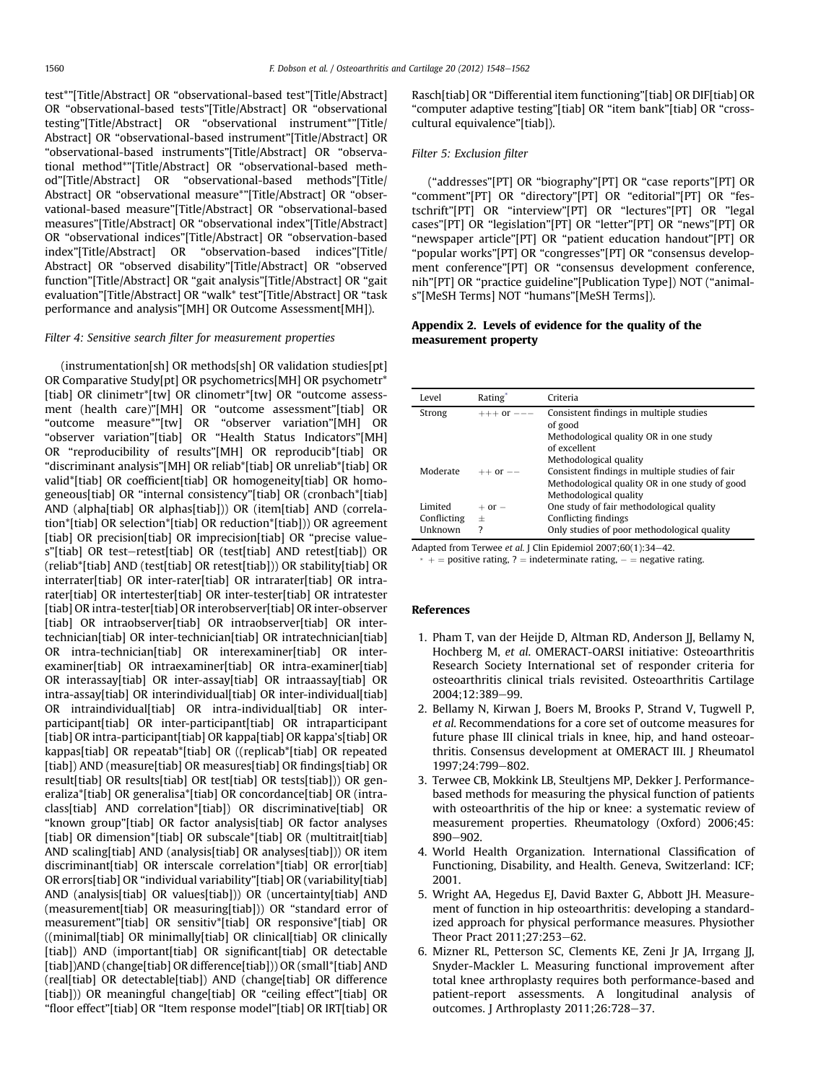<span id="page-12-0"></span>test\*"[Title/Abstract] OR "observational-based test"[Title/Abstract] OR "observational-based tests"[Title/Abstract] OR "observational testing"[Title/Abstract] OR "observational instrument\*"[Title/ Abstract] OR "observational-based instrument"[Title/Abstract] OR "observational-based instruments"[Title/Abstract] OR "observational method\*"[Title/Abstract] OR "observational-based method"[Title/Abstract] OR "observational-based methods"[Title/ Abstract] OR "observational measure\*"[Title/Abstract] OR "observational-based measure"[Title/Abstract] OR "observational-based measures"[Title/Abstract] OR "observational index"[Title/Abstract] OR "observational indices"[Title/Abstract] OR "observation-based index"[Title/Abstract] OR "observation-based indices"[Title/ Abstract] OR "observed disability"[Title/Abstract] OR "observed function"[Title/Abstract] OR "gait analysis"[Title/Abstract] OR "gait evaluation"[Title/Abstract] OR "walk\* test"[Title/Abstract] OR "task performance and analysis"[MH] OR Outcome Assessment[MH]).

# Filter 4: Sensitive search filter for measurement properties

(instrumentation[sh] OR methods[sh] OR validation studies[pt] OR Comparative Study[pt] OR psychometrics[MH] OR psychometr\* [tiab] OR clinimetr\*[tw] OR clinometr\*[tw] OR "outcome assessment (health care)"[MH] OR "outcome assessment"[tiab] OR "outcome measure\*"[tw] OR "observer variation"[MH] OR "observer variation"[tiab] OR "Health Status Indicators"[MH] OR "reproducibility of results"[MH] OR reproducib\*[tiab] OR "discriminant analysis"[MH] OR reliab\*[tiab] OR unreliab\*[tiab] OR valid\*[tiab] OR coefficient[tiab] OR homogeneity[tiab] OR homogeneous[tiab] OR "internal consistency"[tiab] OR (cronbach\*[tiab] AND (alpha[tiab] OR alphas[tiab])) OR (item[tiab] AND (correlation\*[tiab] OR selection\*[tiab] OR reduction\*[tiab])) OR agreement [tiab] OR precision[tiab] OR imprecision[tiab] OR "precise values"[tiab] OR test-retest[tiab] OR (test[tiab] AND retest[tiab]) OR (reliab\*[tiab] AND (test[tiab] OR retest[tiab])) OR stability[tiab] OR interrater[tiab] OR inter-rater[tiab] OR intrarater[tiab] OR intrarater[tiab] OR intertester[tiab] OR inter-tester[tiab] OR intratester [tiab] OR intra-tester[tiab] OR interobserver[tiab] OR inter-observer [tiab] OR intraobserver[tiab] OR intraobserver[tiab] OR intertechnician[tiab] OR inter-technician[tiab] OR intratechnician[tiab] OR intra-technician[tiab] OR interexaminer[tiab] OR interexaminer[tiab] OR intraexaminer[tiab] OR intra-examiner[tiab] OR interassay[tiab] OR inter-assay[tiab] OR intraassay[tiab] OR intra-assay[tiab] OR interindividual[tiab] OR inter-individual[tiab] OR intraindividual[tiab] OR intra-individual[tiab] OR interparticipant[tiab] OR inter-participant[tiab] OR intraparticipant [tiab] OR intra-participant[tiab] OR kappa[tiab] OR kappa's[tiab] OR kappas[tiab] OR repeatab\*[tiab] OR ((replicab\*[tiab] OR repeated [tiab]) AND (measure[tiab] OR measures[tiab] OR findings[tiab] OR result[tiab] OR results[tiab] OR test[tiab] OR tests[tiab])) OR generaliza\*[tiab] OR generalisa\*[tiab] OR concordance[tiab] OR (intraclass[tiab] AND correlation\*[tiab]) OR discriminative[tiab] OR "known group"[tiab] OR factor analysis[tiab] OR factor analyses [tiab] OR dimension\*[tiab] OR subscale\*[tiab] OR (multitrait[tiab] AND scaling[tiab] AND (analysis[tiab] OR analyses[tiab])) OR item discriminant[tiab] OR interscale correlation\*[tiab] OR error[tiab] OR errors[tiab] OR "individual variability"[tiab] OR (variability[tiab] AND (analysis[tiab] OR values[tiab])) OR (uncertainty[tiab] AND (measurement[tiab] OR measuring[tiab])) OR "standard error of measurement"[tiab] OR sensitiv\*[tiab] OR responsive\*[tiab] OR ((minimal[tiab] OR minimally[tiab] OR clinical[tiab] OR clinically [tiab]) AND (important[tiab] OR significant[tiab] OR detectable [tiab])AND (change[tiab] OR difference[tiab])) OR (small\*[tiab] AND (real[tiab] OR detectable[tiab]) AND (change[tiab] OR difference [tiab])) OR meaningful change[tiab] OR "ceiling effect"[tiab] OR "floor effect"[tiab] OR "Item response model"[tiab] OR IRT[tiab] OR Rasch[tiab] OR "Differential item functioning"[tiab] OR DIF[tiab] OR "computer adaptive testing"[tiab] OR "item bank"[tiab] OR "crosscultural equivalence"[tiab]).

# Filter 5: Exclusion filter

("addresses"[PT] OR "biography"[PT] OR "case reports"[PT] OR "comment"[PT] OR "directory"[PT] OR "editorial"[PT] OR "festschrift"[PT] OR "interview"[PT] OR "lectures"[PT] OR "legal cases"[PT] OR "legislation"[PT] OR "letter"[PT] OR "news"[PT] OR "newspaper article"[PT] OR "patient education handout"[PT] OR "popular works"[PT] OR "congresses"[PT] OR "consensus development conference"[PT] OR "consensus development conference, nih"[PT] OR "practice guideline"[Publication Type]) NOT ("animals"[MeSH Terms] NOT "humans"[MeSH Terms]).

# Appendix 2. Levels of evidence for the quality of the measurement property

| Level       | Rating <sup>*</sup> | Criteria                                        |
|-------------|---------------------|-------------------------------------------------|
| Strong      | $+++$ or $---$      | Consistent findings in multiple studies         |
|             |                     | of good                                         |
|             |                     | Methodological quality OR in one study          |
|             |                     | of excellent                                    |
|             |                     | Methodological quality                          |
| Moderate    | $++$ or $--$        | Consistent findings in multiple studies of fair |
|             |                     | Methodological quality OR in one study of good  |
|             |                     | Methodological quality                          |
| Limited     | $+$ or $-$          | One study of fair methodological quality        |
| Conflicting | 士                   | Conflicting findings                            |
| Unknown     | 7                   | Only studies of poor methodological quality     |

Adapted from Terwee et al. J Clin Epidemiol 2007;60(1):34-42.

 $* +$  = positive rating, ? = indeterminate rating,  $-$  = negative rating.

# References

- 1. Pham T, van der Heijde D, Altman RD, Anderson JJ, Bellamy N, Hochberg M, et al. OMERACT-OARSI initiative: Osteoarthritis Research Society International set of responder criteria for osteoarthritis clinical trials revisited. Osteoarthritis Cartilage 2004:12:389-99.
- 2. Bellamy N, Kirwan J, Boers M, Brooks P, Strand V, Tugwell P, et al. Recommendations for a core set of outcome measures for future phase III clinical trials in knee, hip, and hand osteoarthritis. Consensus development at OMERACT III. J Rheumatol 1997:24:799-802.
- 3. Terwee CB, Mokkink LB, Steultjens MP, Dekker J. Performancebased methods for measuring the physical function of patients with osteoarthritis of the hip or knee: a systematic review of measurement properties. Rheumatology (Oxford) 2006;45: 890-902.
- 4. World Health Organization. International Classification of Functioning, Disability, and Health. Geneva, Switzerland: ICF; 2001.
- 5. Wright AA, Hegedus EJ, David Baxter G, Abbott JH. Measurement of function in hip osteoarthritis: developing a standardized approach for physical performance measures. Physiother Theor Pract 2011;27:253-62.
- 6. Mizner RL, Petterson SC, Clements KE, Zeni Jr JA, Irrgang JJ, Snyder-Mackler L. Measuring functional improvement after total knee arthroplasty requires both performance-based and patient-report assessments. A longitudinal analysis of outcomes. J Arthroplasty 2011;26:728-37.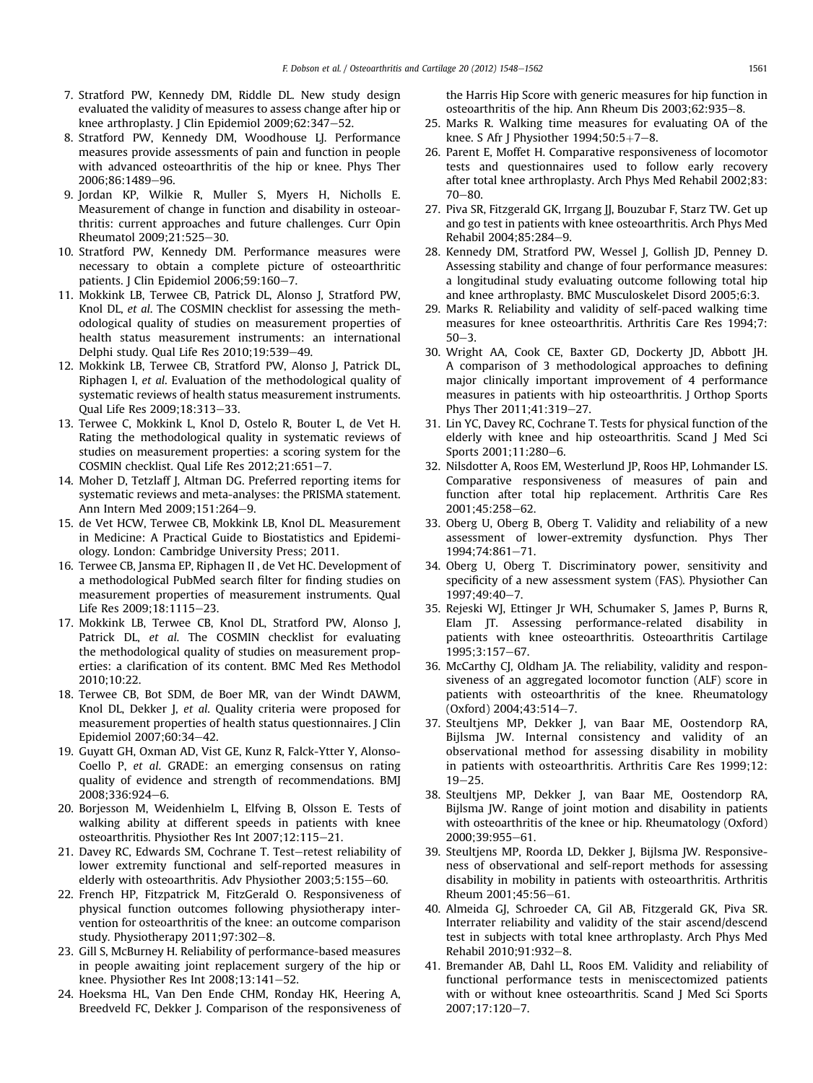- <span id="page-13-0"></span>7. Stratford PW, Kennedy DM, Riddle DL. New study design evaluated the validity of measures to assess change after hip or knee arthroplasty. J Clin Epidemiol  $2009;62:347-52$ .
- 8. Stratford PW, Kennedy DM, Woodhouse LJ. Performance measures provide assessments of pain and function in people with advanced osteoarthritis of the hip or knee. Phys Ther 2006:86:1489-96.
- 9. Jordan KP, Wilkie R, Muller S, Myers H, Nicholls E. Measurement of change in function and disability in osteoarthritis: current approaches and future challenges. Curr Opin Rheumatol 2009;21:525-30.
- 10. Stratford PW, Kennedy DM. Performance measures were necessary to obtain a complete picture of osteoarthritic patients. J Clin Epidemiol  $2006;59;160-7$ .
- 11. Mokkink LB, Terwee CB, Patrick DL, Alonso J, Stratford PW, Knol DL, et al. The COSMIN checklist for assessing the methodological quality of studies on measurement properties of health status measurement instruments: an international Delphi study. Qual Life Res 2010;19:539-49.
- 12. Mokkink LB, Terwee CB, Stratford PW, Alonso J, Patrick DL, Riphagen I, et al. Evaluation of the methodological quality of systematic reviews of health status measurement instruments. Qual Life Res 2009;18:313-33.
- 13. Terwee C, Mokkink L, Knol D, Ostelo R, Bouter L, de Vet H. Rating the methodological quality in systematic reviews of studies on measurement properties: a scoring system for the COSMIN checklist. Qual Life Res  $2012;21:651-7$ .
- 14. Moher D, Tetzlaff J, Altman DG. Preferred reporting items for systematic reviews and meta-analyses: the PRISMA statement. Ann Intern Med 2009;151:264-9.
- 15. de Vet HCW, Terwee CB, Mokkink LB, Knol DL. Measurement in Medicine: A Practical Guide to Biostatistics and Epidemiology. London: Cambridge University Press; 2011.
- 16. Terwee CB, Jansma EP, Riphagen II , de Vet HC. Development of a methodological PubMed search filter for finding studies on measurement properties of measurement instruments. Qual Life Res 2009;18:1115-23.
- 17. Mokkink LB, Terwee CB, Knol DL, Stratford PW, Alonso J, Patrick DL, et al. The COSMIN checklist for evaluating the methodological quality of studies on measurement properties: a clarification of its content. BMC Med Res Methodol 2010;10:22.
- 18. Terwee CB, Bot SDM, de Boer MR, van der Windt DAWM, Knol DL, Dekker J, et al. Quality criteria were proposed for measurement properties of health status questionnaires. J Clin Epidemiol 2007;60:34-42.
- 19. Guyatt GH, Oxman AD, Vist GE, Kunz R, Falck-Ytter Y, Alonso-Coello P, et al. GRADE: an emerging consensus on rating quality of evidence and strength of recommendations. BMJ 2008:336:924-6.
- 20. Borjesson M, Weidenhielm L, Elfving B, Olsson E. Tests of walking ability at different speeds in patients with knee osteoarthritis. Physiother Res Int 2007;12:115-21.
- 21. Davey RC, Edwards SM, Cochrane T. Test-retest reliability of lower extremity functional and self-reported measures in elderly with osteoarthritis. Adv Physiother 2003;5:155-60.
- 22. French HP, Fitzpatrick M, FitzGerald O. Responsiveness of physical function outcomes following physiotherapy intervention for osteoarthritis of the knee: an outcome comparison study. Physiotherapy  $2011;97:302-8$ .
- 23. Gill S, McBurney H. Reliability of performance-based measures in people awaiting joint replacement surgery of the hip or knee. Physiother Res Int  $2008;13:141-52$ .
- 24. Hoeksma HL, Van Den Ende CHM, Ronday HK, Heering A, Breedveld FC, Dekker J. Comparison of the responsiveness of

the Harris Hip Score with generic measures for hip function in osteoarthritis of the hip. Ann Rheum Dis 2003;62:935-8.

- 25. Marks R. Walking time measures for evaluating OA of the knee. S Afr J Physiother  $1994;50:5+7-8$ .
- 26. Parent E, Moffet H. Comparative responsiveness of locomotor tests and questionnaires used to follow early recovery after total knee arthroplasty. Arch Phys Med Rehabil 2002;83:  $70 - 80.$
- 27. Piva SR, Fitzgerald GK, Irrgang JJ, Bouzubar F, Starz TW. Get up and go test in patients with knee osteoarthritis. Arch Phys Med Rehabil 2004;85:284-9.
- 28. Kennedy DM, Stratford PW, Wessel J, Gollish JD, Penney D. Assessing stability and change of four performance measures: a longitudinal study evaluating outcome following total hip and knee arthroplasty. BMC Musculoskelet Disord 2005;6:3.
- 29. Marks R. Reliability and validity of self-paced walking time measures for knee osteoarthritis. Arthritis Care Res 1994;7:  $50 - 3$
- 30. Wright AA, Cook CE, Baxter GD, Dockerty JD, Abbott JH. A comparison of 3 methodological approaches to defining major clinically important improvement of 4 performance measures in patients with hip osteoarthritis. J Orthop Sports Phys Ther 2011;41:319-27.
- 31. Lin YC, Davey RC, Cochrane T. Tests for physical function of the elderly with knee and hip osteoarthritis. Scand J Med Sci Sports 2001;11:280-6.
- 32. Nilsdotter A, Roos EM, Westerlund JP, Roos HP, Lohmander LS. Comparative responsiveness of measures of pain and function after total hip replacement. Arthritis Care Res 2001;45:258-62.
- 33. Oberg U, Oberg B, Oberg T. Validity and reliability of a new assessment of lower-extremity dysfunction. Phys Ther 1994;74:861-71.
- 34. Oberg U, Oberg T. Discriminatory power, sensitivity and specificity of a new assessment system (FAS). Physiother Can 1997;49:40-7.
- 35. Rejeski WJ, Ettinger Jr WH, Schumaker S, James P, Burns R, Elam JT. Assessing performance-related disability in patients with knee osteoarthritis. Osteoarthritis Cartilage 1995;3:157-67.
- 36. McCarthy CJ, Oldham JA. The reliability, validity and responsiveness of an aggregated locomotor function (ALF) score in patients with osteoarthritis of the knee. Rheumatology  $(Oxford) 2004; 43:514-7.$
- 37. Steultjens MP, Dekker J, van Baar ME, Oostendorp RA, Bijlsma JW. Internal consistency and validity of an observational method for assessing disability in mobility in patients with osteoarthritis. Arthritis Care Res 1999;12:  $19 - 25.$
- 38. Steultjens MP, Dekker J, van Baar ME, Oostendorp RA, Bijlsma JW. Range of joint motion and disability in patients with osteoarthritis of the knee or hip. Rheumatology (Oxford) 2000;39:955-61.
- 39. Steultjens MP, Roorda LD, Dekker J, Bijlsma JW. Responsiveness of observational and self-report methods for assessing disability in mobility in patients with osteoarthritis. Arthritis Rheum 2001;45:56-61.
- 40. Almeida GJ, Schroeder CA, Gil AB, Fitzgerald GK, Piva SR. Interrater reliability and validity of the stair ascend/descend test in subjects with total knee arthroplasty. Arch Phys Med Rehabil 2010;91:932-8.
- 41. Bremander AB, Dahl LL, Roos EM. Validity and reliability of functional performance tests in meniscectomized patients with or without knee osteoarthritis. Scand J Med Sci Sports 2007;17:120-7.